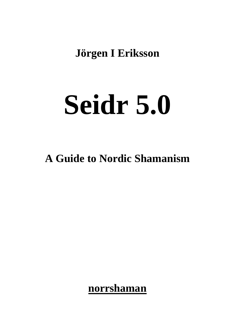**Jörgen I Eriksson**

# **Seidr 5.0**

# **A Guide to Nordic Shamanism**

**norrshaman**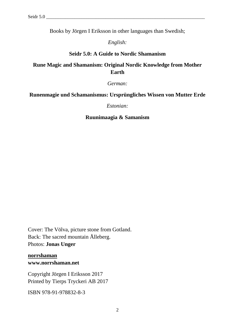Books by Jörgen I Eriksson in other languages than Swedish;

*English:*

#### **Seidr 5.0: A Guide to Nordic Shamanism**

# **Rune Magic and Shamanism: Original Nordic Knowledge from Mother Earth**

*German:*

#### **Runenmagie und Schamanismus: Ursprüngliches Wissen von Mutter Erde**

*Estonian:*

#### **Ruunimaagia & Samanism**

Cover: The Völva, picture stone from Gotland. Back: The sacred mountain Ålleberg. Photos: **Jonas Unger**

**norrshaman www.norrshaman.net**

Copyright Jörgen I Eriksson 2017 Printed by Tierps Tryckeri AB 2017

ISBN 978-91-978832-8-3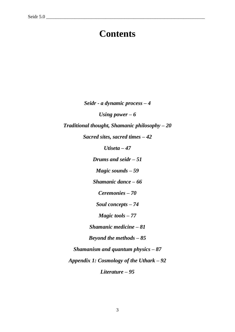# **Contents**

*Seidr - a dynamic process – 4*

*Using power – 6*

*Traditional thought, Shamanic philosophy – 20*

*Sacred sites, sacred times – 42*

*Utiseta – 47*

*Drums and seidr – 51*

*Magic sounds – 59*

*Shamanic dance – 66*

*Ceremonies – 70*

*Soul concepts – 74*

*Magic tools – 77*

*Shamanic medicine – 81*

*Beyond the methods – 85*

*Shamanism and quantum physics – 87* 

*Appendix 1: Cosmology of the Uthark – 92*

*Literature – 95*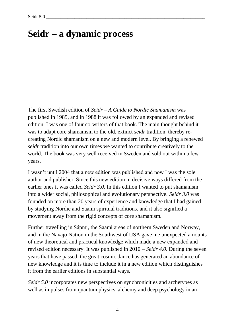# **Seidr – a dynamic process**

The first Swedish edition of *Seidr – A Guide to Nordic Shamanism* was published in 1985, and in 1988 it was followed by an expanded and revised edition. I was one of four co-writers of that book. The main thought behind it was to adapt core shamanism to the old, extinct *seidr* tradition, thereby recreating Nordic shamanism on a new and modern level. By bringing a renewed *seidr* tradition into our own times we wanted to contribute creatively to the world. The book was very well received in Sweden and sold out within a few years.

I wasn't until 2004 that a new edition was published and now I was the sole author and publisher. Since this new edition in decisive ways differed from the earlier ones it was called *Seidr 3.0*. In this edition I wanted to put shamanism into a wider social, philosophical and evolutionary perspective. *Seidr 3.0* was founded on more than 20 years of experience and knowledge that I had gained by studying Nordic and Saami spiritual traditions, and it also signified a movement away from the rigid concepts of core shamanism.

Further travelling in Sápmi, the Saami areas of northern Sweden and Norway, and in the Navajo Nation in the Southwest of USA gave me unexpected amounts of new theoretical and practical knowledge which made a new expanded and revised edition necessary. It was published in 2010 – *Seidr 4.0*. During the seven years that have passed, the great cosmic dance has generated an abundance of new knowledge and it is time to include it in a new edition which distinguishes it from the earlier editions in substantial ways.

*Seidr 5.0* incorporates new perspectives on synchronicities and archetypes as well as impulses from quantum physics, alchemy and deep psychology in an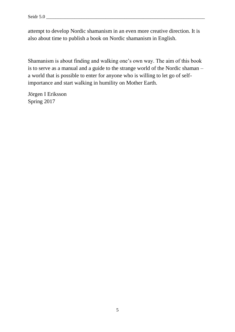attempt to develop Nordic shamanism in an even more creative direction. It is also about time to publish a book on Nordic shamanism in English.

Shamanism is about finding and walking one's own way. The aim of this book is to serve as a manual and a guide to the strange world of the Nordic shaman – a world that is possible to enter for anyone who is willing to let go of selfimportance and start walking in humility on Mother Earth.

Jörgen I Eriksson Spring 2017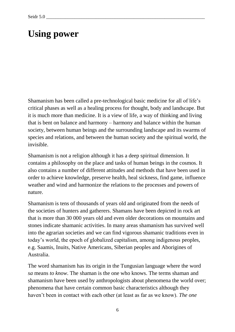# **Using power**

Shamanism has been called a pre-technological basic medicine for all of life's critical phases as well as a healing process for thought, body and landscape. But it is much more than medicine. It is a view of life, a way of thinking and living that is bent on balance and harmony – harmony and balance within the human society, between human beings and the surrounding landscape and its swarms of species and relations, and between the human society and the spiritual world, the invisible.

Shamanism is not a religion although it has a deep spiritual dimension. It contains a philosophy on the place and tasks of human beings in the cosmos. It also contains a number of different attitudes and methods that have been used in order to achieve knowledge, preserve health, heal sickness, find game, influence weather and wind and harmonize the relations to the processes and powers of nature.

Shamanism is tens of thousands of years old and originated from the needs of the societies of hunters and gatherers. Shamans have been depicted in rock art that is more than 30 000 years old and even older decorations on mountains and stones indicate shamanic activities. In many areas shamanism has survived well into the agrarian societies and we can find vigorous shamanic traditions even in today's world, the epoch of globalized capitalism, among indigenous peoples, e.g. Saamis, Inuits, Native Americans, Siberian peoples and Aborigines of Australia.

The word shamanism has its origin in the Tungusian language where the word *sa* means *to know*. The shaman is the one who knows. The terms shaman and shamanism have been used by anthropologists about phenomena the world over; phenomena that have certain common basic characteristics although they haven't been in contact with each other (at least as far as we know). *The one*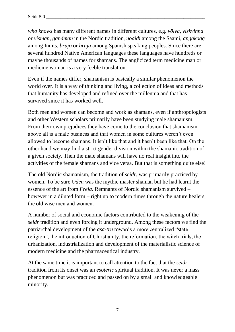*who knows* has many different names in different cultures, e.g. *völva*, *viskvinna* or *visman*, *gandman* in the Nordic tradition, *noaidi* among the Saami, *angakoqq* among Inuits, *brujo* or *bruja* among Spanish speaking peoples. Since there are several hundred Native American languages these languages have hundreds or maybe thousands of names for shamans. The anglicized term medicine man or medicine woman is a very feeble translation.

Even if the names differ, shamanism is basically a similar phenomenon the world over. It is a way of thinking and living, a collection of ideas and methods that humanity has developed and refined over the millennia and that has survived since it has worked well.

Both men and women can become and work as shamans, even if anthropologists and other Western scholars primarily have been studying male shamanism. From their own prejudices they have come to the conclusion that shamanism above all is a male business and that women in some cultures weren't even allowed to become shamans. It isn't like that and it hasn't been like that. On the other hand we may find a strict gender division within the shamanic tradition of a given society. Then the male shamans will have no real insight into the activities of the female shamans and vice versa. But that is something quite else!

The old Nordic shamanism, the tradition of *seidr*, was primarily practiced by women. To be sure *Oden* was the mythic master shaman but he had learnt the essence of the art from *Freja*. Remnants of Nordic shamanism survived – however in a diluted form – right up to modern times through the nature healers, the old wise men and women.

A number of social and economic factors contributed to the weakening of the *seidr* tradition and even forcing it underground. Among these factors we find the patriarchal development of the *asa-tru* towards a more centralized "state religion", the introduction of Christianity, the reformation, the witch trials, the urbanization, industrialization and development of the materialistic science of modern medicine and the pharmaceutical industry.

At the same time it is important to call attention to the fact that the *seidr* tradition from its onset was an *esoteric* spiritual tradition. It was never a mass phenomenon but was practiced and passed on by a small and knowledgeable minority.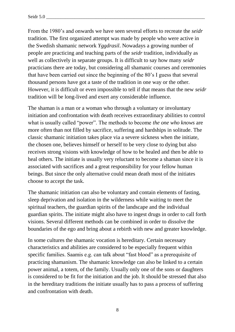Seidr 5.0 \_\_\_\_\_\_\_\_\_\_\_\_\_\_\_\_\_\_\_\_\_\_\_\_\_\_\_\_\_\_\_\_\_\_\_\_\_\_\_\_\_\_\_\_\_\_\_\_\_\_\_\_\_\_\_\_\_\_\_\_\_\_\_\_\_\_\_

From the 1980's and onwards we have seen several efforts to recreate the *seidr* tradition. The first organized attempt was made by people who were active in the Swedish shamanic network *Yggdrasil*. Nowadays a growing number of people are practicing and teaching parts of the *seidr* tradition, individually as well as collectively in separate groups. It is difficult to say how many *seidr* practicians there are today, but considering all shamanic courses and ceremonies that have been carried out since the beginning of the 80's I guess that several thousand persons have got a taste of the tradition in one way or the other. However, it is difficult or even impossible to tell if that means that the new *seidr* tradition will be long-lived and exert any considerable influence.

The shaman is a man or a woman who through a voluntary or involuntary initiation and confrontation with death receives extraordinary abilities to control what is usually called "power". The methods to become *the one who knows* are more often than not filled by sacrifice, suffering and hardships in solitude. The classic shamanic initiation takes place via a severe sickness when the initiate, the chosen one, believes himself or herself to be very close to dying but also receives strong visions with knowledge of how to be healed and then be able to heal others. The initiate is usually very reluctant to become a shaman since it is associated with sacrifices and a great responsibility for your fellow human beings. But since the only alternative could mean death most of the initiates choose to accept the task.

The shamanic initiation can also be voluntary and contain elements of fasting, sleep deprivation and isolation in the wilderness while waiting to meet the spiritual teachers, the guardian spirits of the landscape and the individual guardian spirits. The initiate might also have to ingest drugs in order to call forth visions. Several different methods can be combined in order to dissolve the boundaries of the ego and bring about a rebirth with new and greater knowledge.

In some cultures the shamanic vocation is hereditary. Certain necessary characteristics and abilities are considered to be especially frequent within specific families. Saamis e.g. can talk about "fast blood" as a prerequisite of practicing shamanism. The shamanic knowledge can also be linked to a certain power animal, a totem, of the family. Usually only one of the sons or daughters is considered to be fit for the initiation and the job. It should be stressed that also in the hereditary traditions the initiate usually has to pass a process of suffering and confrontation with death.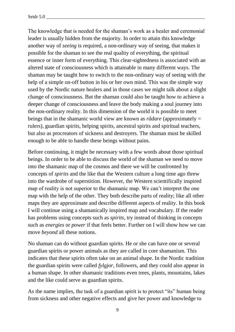The knowledge that is needed for the shaman's work as a healer and ceremonial leader is usually hidden from the majority. In order to attain this knowledge another way of *seeing* is required, a non-ordinary way of seeing, that makes it possible for the shaman to see the real quality of everything, the spiritual essence or inner form of everything. This clear-sightedness is associated with an altered state of consciousness which is attainable in many different ways. The shaman may be taught how to switch to the non-ordinary way of seeing with the help of a simple on-off button in his or her own mind. This was the simple way used by the Nordic nature healers and in those cases we might talk about a slight change of consciousness. But the shaman could also be taught how to achieve a deeper change of consciousness and leave the body making a soul journey into the non-ordinary reality. In this dimension of the world it is possible to meet beings that in the shamanic world view are known as *rådare* (approximately = rulers), guardian spirits, helping spirits, ancestral spirits and spiritual teachers, but also as procreators of sickness and destroyers. The shaman must be skilled enough to be able to handle these beings without pains.

Before continuing, it might be necessary with a few words about those spiritual beings. In order to be able to discuss the world of the shaman we need to move into the shamanic map of the cosmos and there we will be confronted by concepts of *spirits* and the like that the Western culture a long time ago threw into the wardrobe of superstition. However, the Western scientifically inspired map of reality is not superior to the shamanic map. We can't interpret the one map with the help of the other. They both describe parts of reality; like all other maps they are approximate and describe different aspects of reality. In this book I will continue using a shamanically inspired map and vocabulary. If the reader has problems using concepts such as *spirits,* try instead of thinking in concepts such as *energies* or *power* if that feels better. Further on I will show how we can move *beyond* all these notions.

No shaman can do without guardian spirits. He or she can have one or several guardian spirits or power animals as they are called in core shamanism. This indicates that these spirits often take on an animal shape. In the Nordic tradition the guardian spirits were called *fylgjor*, followers, and they could also appear in a human shape. In other shamanic traditions even trees, plants, mountains, lakes and the like could serve as guardian spirits.

As the name implies, the task of a guardian spirit is to protect "its" human being from sickness and other negative effects and give her power and knowledge to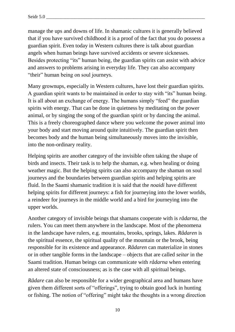manage the ups and downs of life. In shamanic cultures it is generally believed that if you have survived childhood it is a proof of the fact that you do possess a guardian spirit. Even today in Western cultures there is talk about guardian angels when human beings have survived accidents or severe sicknesses. Besides protecting "its" human being, the guardian spirits can assist with advice and answers to problems arising in everyday life. They can also accompany "their" human being on soul journeys.

Many grownups, especially in Western cultures, have lost their guardian spirits. A guardian spirit wants to be maintained in order to stay with "its" human being. It is all about an exchange of energy. The humans simply "feed" the guardian spirits with energy. That can be done in quietness by meditating on the power animal, or by singing the song of the guardian spirit or by dancing the animal. This is a freely choreographed dance where you welcome the power animal into your body and start moving around quite intuitively. The guardian spirit then becomes body and the human being simultaneously moves into the invisible, into the non-ordinary reality.

Helping spirits are another category of the invisible often taking the shape of birds and insects. Their task is to help the shaman, e.g. when healing or doing weather magic. But the helping spirits can also accompany the shaman on soul journeys and the boundaries between guardian spirits and helping spirits are fluid. In the Saami shamanic tradition it is said that the *noaidi* have different helping spirits for different journeys: a fish for journeying into the lower worlds, a reindeer for journeys in the middle world and a bird for journeying into the upper worlds.

Another category of invisible beings that shamans cooperate with is *rådarna*, the rulers. You can meet them anywhere in the landscape. Most of the phenomena in the landscape have rulers, e.g. mountains, brooks, springs, lakes. *Rådaren* is the spiritual essence, the spiritual quality of the mountain or the brook, being responsible for its existence and appearance. *Rådaren* can materialize in stones or in other tangible forms in the landscape – objects that are called *seitar* in the Saami tradition. Human beings can communicate with *rådarna* when entering an altered state of consciousness; as is the case with all spiritual beings.

*Rådare* can also be responsible for a wider geographical area and humans have given them different sorts of "offerings", trying to obtain good luck in hunting or fishing. The notion of "offering" might take the thoughts in a wrong direction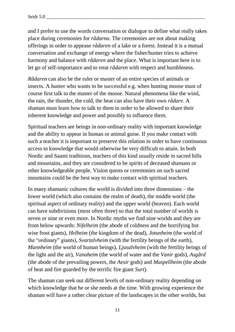and I prefer to use the words conversation or dialogue to define what really takes place during ceremonies for *rådarna*. The ceremonies are not about making offerings in order to appease *rådaren* of a lake or a forest. Instead it is a mutual conversation and exchange of energy where the fisher/hunter tries to achieve harmony and balance with *rådaren* and the place. What is important here is to let go of self-importance and to treat *rådaren* with respect and humbleness.

*Rådaren* can also be the ruler or master of an entire species of animals or insects. A hunter who wants to be successful e.g. when hunting moose must of course first talk to the master of the moose. Natural phenomena like the wind, the rain, the thunder, the cold, the heat can also have their own *rådare*. A shaman must learn how to talk to them in order to be allowed to share their inherent knowledge and power and possibly to influence them.

Spiritual teachers are beings in non-ordinary reality with important knowledge and the ability to appear in human or animal guise. If you make contact with such a teacher it is important to preserve this relation in order to have continuous access to knowledge that would otherwise be very difficult to attain. In both Nordic and Saami traditions, teachers of this kind usually reside in sacred hills and mountains, and they are considered to be spirits of deceased shamans or other knowledgeable people. Vision quests or ceremonies on such sacred mountains could be the best way to make contact with spiritual teachers.

In many shamanic cultures the world is divided into three dimensions – the lower world (which also contains the realm of death), the middle world (the spiritual aspect of ordinary reality) and the upper world (heaven). Each world can have subdivisions (most often three) so that the total number of worlds is seven or nine or even more. In Nordic myths we find nine worlds and they are from below upwards: *Nifelheim* (the abode of coldness and the horrifying but wise frost giants), *Helheim* (the kingdom of the dead), *Jotunheim* (the world of the "ordinary" giants), *Svartalvheim* (with the fertility beings of the earth), *Mannheim* (the world of human beings), *Ljusalvheim* (with the fertility beings of the light and the air), *Vanaheim* (the world of water and the *Vanir* gods), *Asgård* (the abode of the prevailing powers, the *Aesir* gods) and *Muspellheim* (the abode of heat and fire guarded by the terrific fire giant *Surt*).

The shaman can seek out different levels of non-ordinary reality depending on which knowledge that he or she needs at the time. With growing experience the shaman will have a rather clear picture of the landscapes in the other worlds, but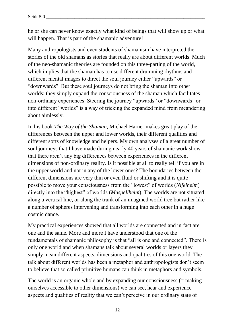he or she can never know exactly what kind of beings that will show up or what will happen. That is part of the shamanic adventure!

Many anthropologists and even students of shamanism have interpreted the stories of the old shamans as stories that really are about different worlds. Much of the neo-shamanic theories are founded on this three-parting of the world, which implies that the shaman has to use different drumming rhythms and different mental images to direct the soul journey either "upwards" or "downwards". But these soul journeys do not bring the shaman into other worlds; they simply expand the consciousness of the shaman which facilitates non-ordinary experiences. Steering the journey "upwards" or "downwards" or into different "worlds" is a way of tricking the expanded mind from meandering about aimlessly.

In his book *The Way of the Shaman,* Michael Harner makes great play of the differences between the upper and lower worlds, their different qualities and different sorts of knowledge and helpers. My own analyses of a great number of soul journeys that I have made during nearly 40 years of shamanic work show that there aren't any big differences between experiences in the different dimensions of non-ordinary reality. Is it possible at all to really tell if you are in the upper world and not in any of the lower ones? The boundaries between the different dimensions are very thin or even fluid or shifting and it is quite possible to move your consciousness from the "lowest" of worlds (*Nifelheim*) directly into the "highest" of worlds (*Muspellheim*). The worlds are not situated along a vertical line, or along the trunk of an imagined world tree but rather like a number of spheres intervening and transforming into each other in a huge cosmic dance.

My practical experiences showed that all worlds are connected and in fact are one and the same. More and more I have understood that one of the fundamentals of shamanic philosophy is that "all is one and connected". There is only one world and when shamans talk about several worlds or layers they simply mean different aspects, dimensions and qualities of this one world. The talk about different worlds has been a metaphor and anthropologists don't seem to believe that so called primitive humans can think in metaphors and symbols.

The world is an organic whole and by expanding our consciousness (= making ourselves accessible to other dimensions) we can see, hear and experience aspects and qualities of reality that we can't perceive in our ordinary state of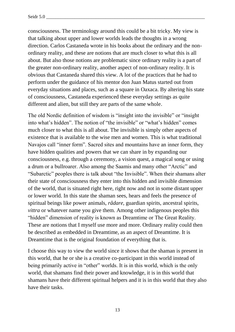consciousness. The terminology around this could be a bit tricky. My view is that talking about upper and lower worlds leads the thoughts in a wrong direction. Carlos Castaneda wrote in his books about the ordinary and the nonordinary reality, and these are notions that are much closer to what this is all about. But also those notions are problematic since ordinary reality is a part of the greater non-ordinary reality, another aspect of non-ordinary reality. It is obvious that Castaneda shared this view. A lot of the practices that he had to perform under the guidance of his mentor don Juan Matus started out from everyday situations and places, such as a square in Oaxaca. By altering his state of consciousness, Castaneda experienced these everyday settings as quite different and alien, but still they are parts of the same whole.

The old Nordic definition of wisdom is "insight into the invisible" or "insight into what's hidden". The notion of "the invisible" or "what's hidden" comes much closer to what this is all about. The invisible is simply other aspects of existence that is available to the wise men and women. This is what traditional Navajos call "inner form". Sacred sites and mountains have an inner form, they have hidden qualities and powers that we can share in by expanding our consciousness, e.g. through a ceremony, a vision quest, a magical song or using a drum or a bullroarer. Also among the Saamis and many other "Arctic" and "Subarctic" peoples there is talk about "the Invisible". When their shamans alter their state of consciousness they enter into this hidden and invisible dimension of the world, that is situated right here, right now and not in some distant upper or lower world. In this state the shaman sees, hears and feels the presence of spiritual beings like power animals, *rådare*, guardian spirits, ancestral spirits, *vittra* or whatever name you give them. Among other indigenous peoples this "hidden" dimension of reality is known as Dreamtime or The Great Reality. These are notions that I myself use more and more. Ordinary reality could then be described as embedded in Dreamtime, as an aspect of Dreamtime. It is Dreamtime that is the original foundation of everything that is.

I choose this way to view the world since it shows that the shaman is present in this world, that he or she is a creative co-participant in this world instead of being primarily active in "other" worlds. It is in this world, which is the only world, that shamans find their power and knowledge, it is in this world that shamans have their different spiritual helpers and it is in this world that they also have their tasks.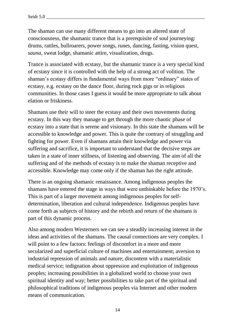The shaman can use many different means to go into an altered state of consciousness, the shamanic trance that is a prerequisite of soul journeying: drums, rattles, bullroarers, power songs, runes, dancing, fasting, vision quest, *sauna*, sweat lodge, shamanic attire, visualization, drugs.

Trance is associated with ecstasy, but the shamanic trance is a very special kind of ecstasy since it is controlled with the help of a strong act of volition. The shaman's ecstasy differs in fundamental ways from more "ordinary" states of ecstasy, e.g. ecstasy on the dance floor, during rock gigs or in religious communities. In those cases I guess it would be more appropriate to talk about elation or friskiness.

Shamans use their will to steer the ecstasy and their own movements during ecstasy. In this way they manage to get through the more chaotic phase of ecstasy into a state that is serene and visionary. In this state the shamans will be accessible to knowledge and power. This is quite the contrary of struggling and fighting for power. Even if shamans attain their knowledge and power via suffering and sacrifice, it is important to understand that the decisive steps are taken in a state of inner stillness, of listening and observing. The aim of all the suffering and of the methods of ecstasy is to make the shaman receptive and accessible. Knowledge may come only if the shaman has the right attitude.

There is an ongoing shamanic renaissance. Among indigenous peoples the shamans have entered the stage in ways that were unthinkable before the 1970's. This is part of a larger movement among indigenous peoples for selfdetermination, liberation and cultural independence. Indigenous peoples have come forth as subjects of history and the rebirth and return of the shamans is part of this dynamic process.

Also among modern Westerners we can see a steadily increasing interest in the ideas and activities of the shamans. The causal connections are very complex. I will point to a few factors: feelings of discomfort in a more and more secularized and superficial culture of machines and entertainment; aversion to industrial repression of animals and nature; discontent with a materialistic medical service; indignation about oppression and exploitation of indigenous peoples; increasing possibilities in a globalized world to choose your own spiritual identity and way; better possibilities to take part of the spiritual and philosophical traditions of indigenous peoples via Internet and other modern means of communication.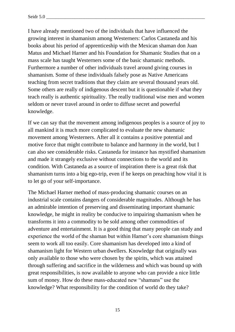I have already mentioned two of the individuals that have influenced the growing interest in shamanism among Westerners: Carlos Castaneda and his books about his period of apprenticeship with the Mexican shaman don Juan Matus and Michael Harner and his Foundation for Shamanic Studies that on a mass scale has taught Westerners some of the basic shamanic methods. Furthermore a number of other individuals travel around giving courses in shamanism. Some of these individuals falsely pose as Native Americans teaching from secret traditions that they claim are several thousand years old. Some others are really of indigenous descent but it is questionable if what they teach really is authentic spirituality. The really traditional wise men and women seldom or never travel around in order to diffuse secret and powerful knowledge.

If we can say that the movement among indigenous peoples is a source of joy to all mankind it is much more complicated to evaluate the new shamanic movement among Westerners. After all it contains a positive potential and motive force that might contribute to balance and harmony in the world, but I can also see considerable risks. Castaneda for instance has mystified shamanism and made it strangely exclusive without connections to the world and its condition. With Castaneda as a source of inspiration there is a great risk that shamanism turns into a big ego-trip, even if he keeps on preaching how vital it is to let go of your self-importance.

The Michael Harner method of mass-producing shamanic courses on an industrial scale contains dangers of considerable magnitudes. Although he has an admirable intention of preserving and disseminating important shamanic knowledge, he might in reality be conducive to impairing shamanism when he transforms it into a commodity to be sold among other commodities of adventure and entertainment. It is a good thing that many people can study and experience the world of the shaman but within Harner's core shamanism things seem to work all too easily. Core shamanism has developed into a kind of shamanism light for Western urban dwellers. Knowledge that originally was only available to those who were chosen by the spirits, which was attained through suffering and sacrifice in the wilderness and which was bound up with great responsibilities, is now available to anyone who can provide a nice little sum of money. How do these mass-educated new "shamans" use the knowledge? What responsibility for the condition of world do they take?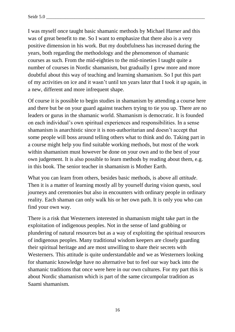I was myself once taught basic shamanic methods by Michael Harner and this was of great benefit to me. So I want to emphasize that there also is a very positive dimension in his work. But my doubtfulness has increased during the years, both regarding the methodology and the phenomenon of shamanic courses as such. From the mid-eighties to the mid-nineties I taught quite a number of courses in Nordic shamanism, but gradually I grew more and more doubtful about this way of teaching and learning shamanism. So I put this part of my activities on ice and it wasn't until ten years later that I took it up again, in a new, different and more infrequent shape.

Of course it is possible to begin studies in shamanism by attending a course here and there but be on your guard against teachers trying to tie you up. There are no leaders or gurus in the shamanic world. Shamanism is democratic. It is founded on each individual's own spiritual experiences and responsibilities. In a sense shamanism is anarchistic since it is non-authoritarian and doesn't accept that some people will boss around telling others what to think and do. Taking part in a course might help you find suitable working methods, but most of the work within shamanism must however be done on your own and to the best of your own judgement. It is also possible to learn methods by reading about them, e.g. in this book. The senior teacher in shamanism is Mother Earth.

What you can learn from others, besides basic methods, is above all *attitude*. Then it is a matter of learning mostly all by yourself during vision quests, soul journeys and ceremonies but also in encounters with ordinary people in ordinary reality. Each shaman can only walk his or her own path. It is only you who can find your own way.

There is a risk that Westerners interested in shamanism might take part in the exploitation of indigenous peoples. Not in the sense of land grabbing or plundering of natural resources but as a way of exploiting the spiritual resources of indigenous peoples. Many traditional wisdom keepers are closely guarding their spiritual heritage and are most unwilling to share their secrets with Westerners. This attitude is quite understandable and we as Westerners looking for shamanic knowledge have no alternative but to feel our way back into the shamanic traditions that once were here in our own cultures. For my part this is about Nordic shamanism which is part of the same circumpolar tradition as Saami shamanism.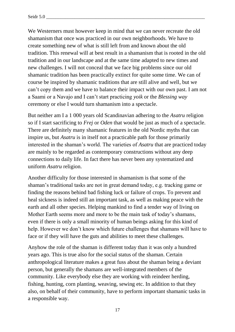We Westerners must however keep in mind that we can never recreate the old shamanism that once was practiced in our own neighborhoods. We have to create something new of what is still left from and known about the old tradition. This renewal will at best result in a shamanism that is rooted in the old tradition and in our landscape and at the same time adapted to new times and new challenges. I will not conceal that we face big problems since our old shamanic tradition has been practically extinct for quite some time. We can of course be inspired by shamanic traditions that are still alive and well, but we can't copy them and we have to balance their impact with our own past. I am not a Saami or a Navajo and I can't start practicing *yoik* or the *Blessing way* ceremony or else I would turn shamanism into a spectacle.

But neither am I a 1 000 years old Scandinavian adhering to the *Asatru* religion so if I start sacrificing to *Frej* or *Oden* that would be just as much of a spectacle. There are definitely many shamanic features in the old Nordic myths that can inspire us, but *Asatru* is in itself not a practicable path for those primarily interested in the shaman's world. The varieties of *Asatru* that are practiced today are mainly to be regarded as contemporary constructions without any deep connections to daily life. In fact there has never been any systematized and uniform *Asatru* religion.

Another difficulty for those interested in shamanism is that some of the shaman's traditional tasks are not in great demand today, e.g. tracking game or finding the reasons behind bad fishing luck or failure of crops. To prevent and heal sickness is indeed still an important task, as well as making peace with the earth and all other species. Helping mankind to find a tender way of living on Mother Earth seems more and more to be the main task of today's shamans, even if there is only a small minority of human beings asking for this kind of help. However we don't know which future challenges that shamans will have to face or if they will have the guts and abilities to meet these challenges.

Anyhow the role of the shaman is different today than it was only a hundred years ago. This is true also for the social status of the shaman. Certain anthropological literature makes a great fuss about the shaman being a deviant person, but generally the shamans are well-integrated members of the community. Like everybody else they are working with reindeer herding, fishing, hunting, corn planting, weaving, sewing etc. In addition to that they also, on behalf of their community, have to perform important shamanic tasks in a responsible way.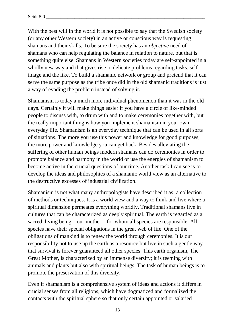With the best will in the world it is not possible to say that the Swedish society (or any other Western society) in an active or conscious way is requesting shamans and their skills. To be sure the society has an *objective* need of shamans who can help regulating the balance in relation to nature, but that is something quite else. Shamans in Western societies today are self-appointed in a wholly new way and that gives rise to delicate problems regarding tasks, selfimage and the like. To build a shamanic network or group and pretend that it can serve the same purpose as the tribe once did in the old shamanic traditions is just a way of evading the problem instead of solving it.

Shamanism is today a much more individual phenomenon than it was in the old days. Certainly it will make things easier if you have a circle of like-minded people to discuss with, to drum with and to make ceremonies together with, but the really important thing is how you implement shamanism in your own everyday life. Shamanism is an everyday technique that can be used in all sorts of situations. The more you use this power and knowledge for good purposes, the more power and knowledge you can get back. Besides alleviating the suffering of other human beings modern shamans can do ceremonies in order to promote balance and harmony in the world or use the energies of shamanism to become active in the crucial questions of our time. Another task I can see is to develop the ideas and philosophies of a shamanic world view as an alternative to the destructive excesses of industrial civilization.

Shamanism is not what many anthropologists have described it as: a collection of methods or techniques. It is a world view and a way to think and live where a spiritual dimension permeates everything worldly. Traditional shamans live in cultures that can be characterized as deeply spiritual. The earth is regarded as a sacred, living being – our mother – for whom all species are responsible. All species have their special obligations in the great web of life. One of the obligations of mankind is to renew the world through ceremonies. It is our responsibility not to use up the earth as a resource but live in such a gentle way that survival is forever guaranteed all other species. This earth organism, The Great Mother, is characterized by an immense diversity; it is teeming with animals and plants but also with spiritual beings. The task of human beings is to promote the preservation of this diversity.

Even if shamanism is a comprehensive system of ideas and actions it differs in crucial senses from all religions, which have dogmatized and formalized the contacts with the spiritual sphere so that only certain appointed or salaried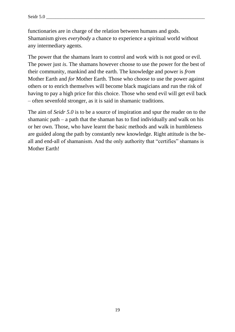functionaries are in charge of the relation between humans and gods. Shamanism gives *everybody* a chance to experience a spiritual world without any intermediary agents.

The power that the shamans learn to control and work with is not good or evil. The power just *is*. The shamans however choose to use the power for the best of their community, mankind and the earth. The knowledge and power is *from*  Mother Earth and *for* Mother Earth. Those who choose to use the power against others or to enrich themselves will become black magicians and run the risk of having to pay a high price for this choice. Those who send evil will get evil back – often sevenfold stronger, as it is said in shamanic traditions.

The aim of *Seidr 5.0* is to be a source of inspiration and spur the reader on to the shamanic path – a path that the shaman has to find individually and walk on his or her own. Those, who have learnt the basic methods and walk in humbleness are guided along the path by constantly new knowledge. Right attitude is the beall and end-all of shamanism. And the only authority that "certifies" shamans is Mother Earth!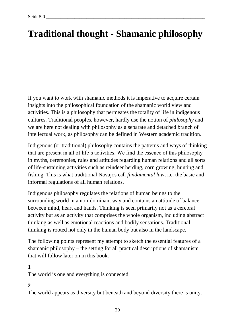# **Traditional thought - Shamanic philosophy**

If you want to work with shamanic methods it is imperative to acquire certain insights into the philosophical foundation of the shamanic world view and activities. This is a philosophy that permeates the totality of life in indigenous cultures. Traditional peoples, however, hardly use the notion of *philosophy* and we are here not dealing with philosophy as a separate and detached branch of intellectual work, as philosophy can be defined in Western academic tradition.

Indigenous (or traditional) philosophy contains the patterns and ways of thinking that are present in all of life's activities. We find the essence of this philosophy in myths, ceremonies, rules and attitudes regarding human relations and all sorts of life-sustaining activities such as reindeer herding, corn growing, hunting and fishing. This is what traditional Navajos call *fundamental law*, i.e. the basic and informal regulations of all human relations.

Indigenous philosophy regulates the relations of human beings to the surrounding world in a non-dominant way and contains an attitude of balance between mind, heart and hands. Thinking is seen primarily not as a cerebral activity but as an activity that comprises the whole organism, including abstract thinking as well as emotional reactions and bodily sensations. Traditional thinking is rooted not only in the human body but also in the landscape.

The following points represent my attempt to sketch the essential features of a shamanic philosophy – the setting for all practical descriptions of shamanism that will follow later on in this book.

# **1**

The world is one and everything is connected.

# **2**

The world appears as diversity but beneath and beyond diversity there is unity.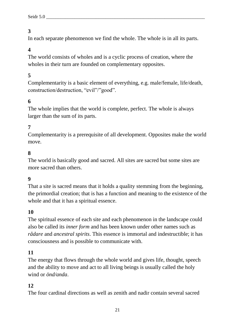In each separate phenomenon we find the whole. The whole is in all its parts.

# **4**

The world consists of wholes and is a cyclic process of creation, where the wholes in their turn are founded on complementary opposites.

# **5**

Complementarity is a basic element of everything, e.g. male/female, life/death, construction/destruction, "evil"/"good".

# **6**

The whole implies that the world is complete, perfect. The whole is always larger than the sum of its parts.

#### **7**

Complementarity is a prerequisite of all development. Opposites make the world move.

#### **8**

The world is basically good and sacred. All sites are sacred but some sites are more sacred than others.

#### **9**

That a site is sacred means that it holds a quality stemming from the beginning, the primordial creation; that is has a function and meaning to the existence of the whole and that it has a spiritual essence.

#### **10**

The spiritual essence of each site and each phenomenon in the landscape could also be called its *inner form* and has been known under other names such as *rådare* and *ancestral spirits*. This essence is immortal and indestructible; it has consciousness and is possible to communicate with.

#### **11**

The energy that flows through the whole world and gives life, thought, speech and the ability to move and act to all living beings is usually called the holy wind or *önd/anda*.

#### **12**

The four cardinal directions as well as zenith and nadir contain several sacred

21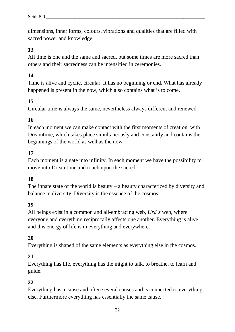dimensions, inner forms, colours, vibrations and qualities that are filled with sacred power and knowledge.

# **13**

All time is one and the same and sacred, but some times are more sacred than others and their sacredness can be intensified in ceremonies.

# **14**

Time is alive and cyclic, circular. It has no beginning or end. What has already happened is present in the now, which also contains what is to come.

# **15**

Circular time is always the same, nevertheless always different and renewed.

# **16**

In each moment we can make contact with the first moments of creation, with Dreamtime, which takes place simultaneously and constantly and contains the beginnings of the world as well as the now.

# **17**

Each moment is a gate into infinity. In each moment we have the possibility to move into Dreamtime and touch upon the sacred.

#### **18**

The innate state of the world is beauty – a beauty characterized by diversity and balance in diversity. Diversity is the essence of the cosmos.

#### **19**

All beings exist in a common and all-embracing web, *Urd's* web, where everyone and everything reciprocally affects one another. Everything is alive and this energy of life is in everything and everywhere.

#### **20**

Everything is shaped of the same elements as everything else in the cosmos.

#### **21**

Everything has life, everything has the might to talk, to breathe, to learn and guide.

#### **22**

Everything has a cause and often several causes and is connected to everything else. Furthermore everything has essentially the same cause.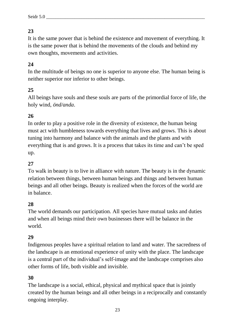It is the same power that is behind the existence and movement of everything. It is the same power that is behind the movements of the clouds and behind my own thoughts, movements and activities.

# **24**

In the multitude of beings no one is superior to anyone else. The human being is neither superior nor inferior to other beings.

# **25**

All beings have souls and these souls are parts of the primordial force of life, the holy wind, *önd/anda*.

# **26**

In order to play a positive role in the diversity of existence, the human being must act with humbleness towards everything that lives and grows. This is about tuning into harmony and balance with the animals and the plants and with everything that is and grows. It is a process that takes its time and can't be sped up.

# **27**

To walk in beauty is to live in alliance with nature. The beauty is in the dynamic relation between things, between human beings and things and between human beings and all other beings. Beauty is realized when the forces of the world are in balance.

#### **28**

The world demands our participation. All species have mutual tasks and duties and when all beings mind their own businesses there will be balance in the world.

#### **29**

Indigenous peoples have a spiritual relation to land and water. The sacredness of the landscape is an emotional experience of unity with the place. The landscape is a central part of the individual's self-image and the landscape comprises also other forms of life, both visible and invisible.

#### **30**

The landscape is a social, ethical, physical and mythical space that is jointly created by the human beings and all other beings in a reciprocally and constantly ongoing interplay.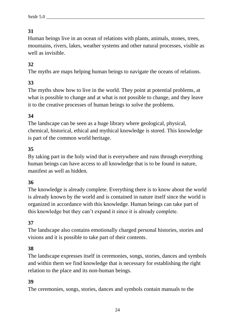Human beings live in an ocean of relations with plants, animals, stones, trees, mountains, rivers, lakes, weather systems and other natural processes, visible as well as invisible.

# **32**

The myths are maps helping human beings to navigate the oceans of relations.

#### **33**

The myths show how to live in the world. They point at potential problems, at what is possible to change and at what is not possible to change, and they leave it to the creative processes of human beings to solve the problems.

#### **34**

The landscape can be seen as a huge library where geological, physical, chemical, historical, ethical and mythical knowledge is stored. This knowledge is part of the common world heritage.

#### **35**

By taking part in the holy wind that is everywhere and runs through everything human beings can have access to all knowledge that is to be found in nature, manifest as well as hidden.

#### **36**

The knowledge is already complete. Everything there is to know about the world is already known by the world and is contained in nature itself since the world is organized in accordance with this knowledge. Human beings can take part of this knowledge but they can't expand it since it is already complete.

#### **37**

The landscape also contains emotionally charged personal histories, stories and visions and it is possible to take part of their contents.

#### **38**

The landscape expresses itself in ceremonies, songs, stories, dances and symbols and within them we find knowledge that is necessary for establishing the right relation to the place and its non-human beings.

#### **39**

The ceremonies, songs, stories, dances and symbols contain manuals to the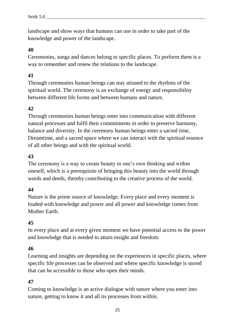landscape and show ways that humans can use in order to take part of the knowledge and power of the landscape.

#### **40**

Ceremonies, songs and dances belong to specific places. To perform them is a way to remember and renew the relations to the landscape.

#### **41**

Through ceremonies human beings can stay attuned to the rhythms of the spiritual world. The ceremony is an exchange of energy and responsibility between different life forms and between humans and nature.

#### **42**

Through ceremonies human beings enter into communication with different natural processes and fulfil their commitments in order to preserve harmony, balance and diversity. In the ceremony human beings enter a sacred time, Dreamtime, and a sacred space where we can interact with the spiritual essence of all other beings and with the spiritual world.

#### **43**

The ceremony is a way to create beauty in one's own thinking and within oneself, which is a prerequisite of bringing this beauty into the world through words and deeds, thereby contributing to the creative process of the world.

#### **44**

Nature is the prime source of knowledge. Every place and every moment is loaded with knowledge and power and all power and knowledge comes from Mother Earth.

#### **45**

In every place and at every given moment we have potential access to the power and knowledge that is needed to attain insight and freedom.

#### **46**

Learning and insights are depending on the experiences in specific places, where specific life processes can be observed and where specific knowledge is stored that can be accessible to those who open their minds.

#### **47**

Coming to knowledge is an active dialogue with nature where you enter into nature, getting to know it and all its processes from within.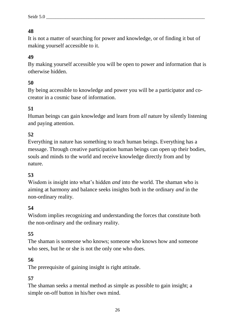It is not a matter of searching for power and knowledge, or of finding it but of making yourself accessible to it.

# **49**

By making yourself accessible you will be open to power and information that is otherwise hidden.

# **50**

By being accessible to knowledge and power you will be a participator and cocreator in a cosmic base of information.

# **51**

Human beings can gain knowledge and learn from *all* nature by silently listening and paying attention.

# **52**

Everything in nature has something to teach human beings. Everything has a message. Through creative participation human beings can open up their bodies, souls and minds to the world and receive knowledge directly from and by nature.

#### **53**

Wisdom is insight into what's hidden *and* into the world. The shaman who is aiming at harmony and balance seeks insights both in the ordinary *and* in the non-ordinary reality.

#### **54**

Wisdom implies recognizing and understanding the forces that constitute both the non-ordinary and the ordinary reality.

#### **55**

The shaman is someone who knows; someone who knows how and someone who sees, but he or she is not the only one who does.

#### **56**

The prerequisite of gaining insight is right attitude.

#### **57**

The shaman seeks a mental method as simple as possible to gain insight; a simple on-off button in his/her own mind.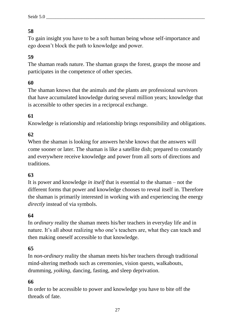To gain insight you have to be a soft human being whose self-importance and ego doesn't block the path to knowledge and power.

# **59**

The shaman reads nature. The shaman grasps the forest, grasps the moose and participates in the competence of other species.

# **60**

The shaman knows that the animals and the plants are professional survivors that have accumulated knowledge during several million years; knowledge that is accessible to other species in a reciprocal exchange.

# **61**

Knowledge is relationship and relationship brings responsibility and obligations.

# **62**

When the shaman is looking for answers he/she knows that the answers will come sooner or later. The shaman is like a satellite dish; prepared to constantly and everywhere receive knowledge and power from all sorts of directions and traditions.

# **63**

It is power and knowledge *in itself* that is essential to the shaman – not the different forms that power and knowledge chooses to reveal itself in. Therefore the shaman is primarily interested in working with and experiencing the energy *directly* instead of via symbols.

#### **64**

In *ordinary* reality the shaman meets his/her teachers in everyday life and in nature. It's all about realizing who one's teachers are, what they can teach and then making oneself accessible to that knowledge.

#### **65**

In *non-ordinary* reality the shaman meets his/her teachers through traditional mind-altering methods such as ceremonies, vision quests, walkabouts, drumming, *yoiking*, dancing, fasting, and sleep deprivation.

#### **66**

In order to be accessible to power and knowledge you have to bite off the threads of fate.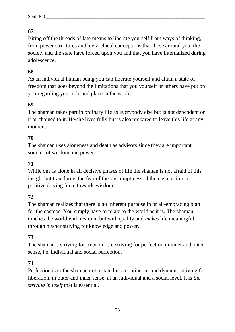Biting off the threads of fate means to liberate yourself from ways of thinking, from power structures and hierarchical conceptions that those around you, the society and the state have forced upon you and that you have internalized during adolescence.

# **68**

As an individual human being you can liberate yourself and attain a state of freedom that goes beyond the limitations that you yourself or others have put on you regarding your role and place in the world.

# **69**

The shaman takes part in ordinary life as everybody else but is not dependent on it or chained to it. He/she lives fully but is also prepared to leave this life at any moment.

# **70**

The shaman uses aloneness and death as advisors since they are important sources of wisdom and power.

# **71**

While one is alone in all decisive phases of life the shaman is not afraid of this insight but transforms the fear of the vast emptiness of the cosmos into a positive driving force towards wisdom.

#### **72**

The shaman realizes that there is no inherent purpose in or all-embracing plan for the cosmos. You simply have to relate to the world as it is. The shaman touches the world with restraint but with quality and *makes* life meaningful through his/her striving for knowledge and power.

#### **73**

The shaman's striving for freedom is a striving for perfection in inner and outer sense, i.e. individual and social perfection.

#### **74**

Perfection is to the shaman not a state but a continuous and dynamic striving for liberation, in outer and inner sense, at an individual and a social level. It is *the striving in itself* that is essential.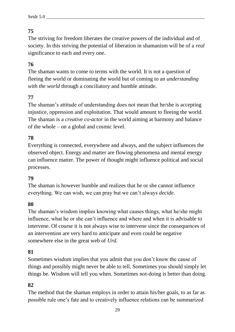The striving for freedom liberates the creative powers of the individual and of society. In this striving the potential of liberation in shamanism will be of a *real* significance to each and every one.

# **76**

The shaman wants to come to terms with the world. It is not a question of fleeing the world or dominating the world but of coming to an *understanding with the world* through a conciliatory and humble attitude.

# **77**

The shaman's attitude of understanding does not mean that he/she is accepting injustice, oppression and exploitation. That would amount to fleeing the world. The shaman is a *creative co-actor* in the world aiming at harmony and balance of the whole – on a global and cosmic level.

#### **78**

Everything is connected, everywhere and always, and the subject influences the observed object. Energy and matter are flowing phenomena and mental energy can influence matter. The power of thought might influence political and social processes.

#### **79**

The shaman is however humble and realizes that he or she cannot influence everything. We can wish, we can pray but we can't always *decide*.

#### **80**

The shaman's wisdom implies knowing what causes things, what he/she might influence, what he or she can't influence and where and when it is advisable to intervene. Of course it is not always wise to intervene since the consequences of an intervention are very hard to anticipate and even could be negative somewhere else in the great web of *Urd*.

#### **81**

Sometimes wisdom implies that you admit that you don't know the cause of things and possibly might never be able to tell. Sometimes you should simply let things be. Wisdom will tell you when. Sometimes not-doing is better than doing.

#### **82**

The method that the shaman employs in order to attain his/her goals, to as far as possible rule one's fate and to creatively influence relations can be summarized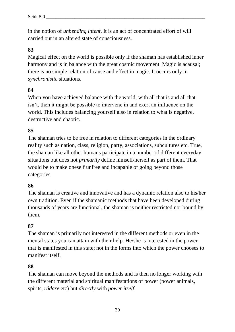in the notion of *unbending intent*. It is an act of concentrated effort of will carried out in an altered state of consciousness.

#### **83**

Magical effect on the world is possible only if the shaman has established inner harmony and is in balance with the great cosmic movement. Magic is acausal; there is no simple relation of cause and effect in magic. It occurs only in *synchronistic* situations.

#### **84**

When you have achieved balance with the world, with all that is and all that isn't, then it might be possible to intervene in and exert an influence on the world. This includes balancing yourself also in relation to what is negative, destructive and chaotic.

#### **85**

The shaman tries to be free in relation to different categories in the ordinary reality such as nation, class, religion, party, associations, subcultures etc. True, the shaman like all other humans participate in a number of different everyday situations but does not *primarily* define himself/herself as part of them. That would be to make oneself unfree and incapable of going beyond those categories.

#### **86**

The shaman is creative and innovative and has a dynamic relation also to his/her own tradition. Even if the shamanic methods that have been developed during thousands of years are functional, the shaman is neither restricted nor bound by them.

#### **87**

The shaman is primarily not interested in the different methods or even in the mental states you can attain with their help. He/she is interested in the power that is manifested in this state; not in the forms into which the power chooses to manifest itself.

#### **88**

The shaman can move beyond the methods and is then no longer working with the different material and spiritual manifestations of power (power animals, spirits, *rådare* etc) but *directly* with *power itself*.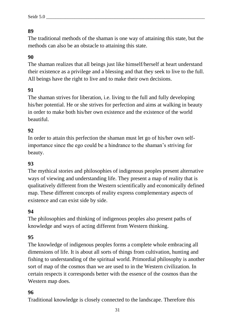The traditional methods of the shaman is one way of attaining this state, but the methods can also be an obstacle to attaining this state.

# **90**

The shaman realizes that all beings just like himself/herself at heart understand their existence as a privilege and a blessing and that they seek to live to the full. All beings have the right to live and to make their own decisions.

# **91**

The shaman strives for liberation, i.e. living to the full and fully developing his/her potential. He or she strives for perfection and aims at walking in beauty in order to make both his/her own existence and the existence of the world beautiful.

# **92**

In order to attain this perfection the shaman must let go of his/her own selfimportance since the ego could be a hindrance to the shaman's striving for beauty.

#### **93**

The mythical stories and philosophies of indigenous peoples present alternative ways of viewing and understanding life. They present a map of reality that is qualitatively different from the Western scientifically and economically defined map. These different concepts of reality express complementary aspects of existence and can exist side by side.

#### **94**

The philosophies and thinking of indigenous peoples also present paths of knowledge and ways of acting different from Western thinking.

#### **95**

The knowledge of indigenous peoples forms a complete whole embracing all dimensions of life. It is about all sorts of things from cultivation, hunting and fishing to understanding of the spiritual world. Primordial philosophy is another sort of map of the cosmos than we are used to in the Western civilization. In certain respects it corresponds better with the essence of the cosmos than the Western map does.

#### **96**

Traditional knowledge is closely connected to the landscape. Therefore this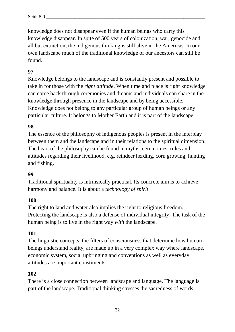knowledge does not disappear even if the human beings who carry this knowledge disappear. In spite of 500 years of colonization, war, genocide and all but extinction, the indigenous thinking is still alive in the Americas. In our own landscape much of the traditional knowledge of our ancestors can still be found.

# **97**

Knowledge belongs to the landscape and is constantly present and possible to take in for those with the *right attitude*. When time and place is right knowledge can come back through ceremonies and dreams and individuals can share in the knowledge through presence in the landscape and by being accessible. Knowledge does not belong to any particular group of human beings or any particular culture. It belongs to Mother Earth and it is part of the landscape.

#### **98**

The essence of the philosophy of indigenous peoples is present in the interplay between them and the landscape and in their relations to the spiritual dimension. The heart of the philosophy can be found in myths, ceremonies, rules and attitudes regarding their livelihood, e.g. reindeer herding, corn growing, hunting and fishing.

#### **99**

Traditional spirituality is intrinsically practical. Its concrete aim is to achieve harmony and balance. It is about a *technology of spirit*.

#### **100**

The right to land and water also implies the right to religious freedom. Protecting the landscape is also a defense of individual integrity. The task of the human being is to live in the right way *with* the landscape.

#### **101**

The linguistic concepts, the filters of consciousness that determine how human beings understand reality, are made up in a very complex way where landscape, economic system, social upbringing and conventions as well as everyday attitudes are important constituents.

#### **102**

There is a close connection between landscape and language. The language is part of the landscape. Traditional thinking stresses the sacredness of words –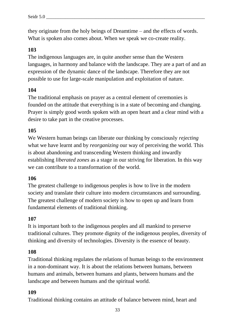they originate from the holy beings of Dreamtime – and the effects of words. What is spoken also comes about. When we speak we co-create reality.

#### **103**

The indigenous languages are, in quite another sense than the Western languages, in harmony and balance with the landscape. They are a part of and an expression of the dynamic dance of the landscape. Therefore they are not possible to use for large-scale manipulation and exploitation of nature.

#### **104**

The traditional emphasis on prayer as a central element of ceremonies is founded on the attitude that everything is in a state of becoming and changing. Prayer is simply good words spoken with an open heart and a clear mind with a desire to take part in the creative processes.

#### **105**

We Western human beings can liberate our thinking by consciously *rejecting* what we have learnt and by *reorganizing* our way of perceiving the world. This is about abandoning and transcending Western thinking and inwardly establishing *liberated zones* as a stage in our striving for liberation. In this way we can contribute to a transformation of the world.

#### **106**

The greatest challenge to indigenous peoples is how to live in the modern society and translate their culture into modern circumstances and surrounding. The greatest challenge of modern society is how to open up and learn from fundamental elements of traditional thinking.

#### **107**

It is important both to the indigenous peoples and all mankind to preserve traditional cultures. They promote dignity of the indigenous peoples, diversity of thinking and diversity of technologies. Diversity is the essence of beauty.

#### **108**

Traditional thinking regulates the relations of human beings to the environment in a non-dominant way. It is about the relations between humans, between humans and animals, between humans and plants, between humans and the landscape and between humans and the spiritual world.

#### **109**

Traditional thinking contains an attitude of balance between mind, heart and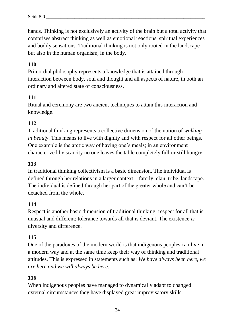hands. Thinking is not exclusively an activity of the brain but a total activity that comprises abstract thinking as well as emotional reactions, spiritual experiences and bodily sensations. Traditional thinking is not only rooted in the landscape but also in the human organism, in the body.

# **110**

Primordial philosophy represents a knowledge that is attained through interaction between body, soul and thought and all aspects of nature, in both an ordinary and altered state of consciousness.

# **111**

Ritual and ceremony are two ancient techniques to attain this interaction and knowledge.

# **112**

Traditional thinking represents a collective dimension of the notion of *walking in beauty*. This means to live with dignity and with respect for all other beings. One example is the arctic way of having one's meals; in an environment characterized by scarcity no one leaves the table completely full or still hungry.

# **113**

In traditional thinking collectivism is a basic dimension. The individual is defined through her relations in a larger context – family, clan, tribe, landscape. The individual is defined through her part of the greater whole and can't be detached from the whole.

#### **114**

Respect is another basic dimension of traditional thinking; respect for all that is unusual and different; tolerance towards all that is deviant. The existence *is* diversity and difference.

#### **115**

One of the paradoxes of the modern world is that indigenous peoples can live in a modern way and at the same time keep their way of thinking and traditional attitudes. This is expressed in statements such as: *We have always been here, we are here and we will always be here.*

#### **116**

When indigenous peoples have managed to dynamically adapt to changed external circumstances they have displayed great improvisatory skills.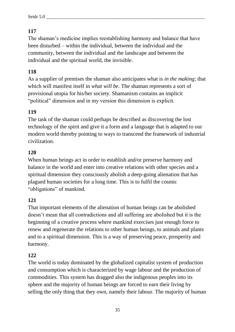The shaman's medicine implies reestablishing harmony and balance that have been disturbed – within the individual, between the individual and the community, between the individual and the landscape and between the individual and the spiritual world, the invisible.

# **118**

As a supplier of premises the shaman also anticipates what is *in the making*; that which will manifest itself in *what will be*. The shaman represents a sort of provisional utopia for his/her society. Shamanism contains an implicit "political" dimension and in my version this dimension is explicit.

# **119**

The task of the shaman could perhaps be described as discovering the lost technology of the spirit and give it a form and a language that is adapted to our modern world thereby pointing to ways to transcend the framework of industrial civilization.

# **120**

When human beings act in order to establish and/or preserve harmony and balance in the world and enter into creative relations with other species and a spiritual dimension they consciously abolish a deep-going alienation that has plagued human societies for a long time. This is to fulfil the cosmic "obligations" of mankind.

# **121**

That important elements of the alienation of human beings can be abolished doesn't mean that all contradictions and all suffering are abolished but it is the beginning of a creative process where mankind exercises just enough force to renew and regenerate the relations to other human beings, to animals and plants and to a spiritual dimension. This is a way of preserving peace, prosperity and harmony.

# **122**

The world is today dominated by the globalized capitalist system of production and consumption which is characterized by wage labour and the production of commodities. This system has dragged also the indigenous peoples into its sphere and the majority of human beings are forced to earn their living by selling the only thing that they own, namely their labour. The majority of human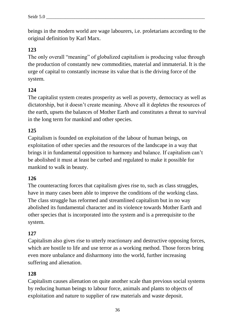beings in the modern world are wage labourers, i.e. proletarians according to the original definition by Karl Marx.

# **123**

The only overall "meaning" of globalized capitalism is producing value through the production of constantly new commodities, material and immaterial. It is the urge of capital to constantly increase its value that is the driving force of the system.

# **124**

The capitalist system creates prosperity as well as poverty, democracy as well as dictatorship, but it doesn't create meaning. Above all it depletes the resources of the earth, upsets the balances of Mother Earth and constitutes a threat to survival in the long term for mankind and other species.

# **125**

Capitalism is founded on exploitation of the labour of human beings, on exploitation of other species and the resources of the landscape in a way that brings it in fundamental opposition to harmony and balance. If capitalism can't be abolished it must at least be curbed and regulated to make it possible for mankind to walk in beauty.

#### **126**

The counteracting forces that capitalism gives rise to, such as class struggles, have in many cases been able to improve the conditions of the working class. The class struggle has reformed and streamlined capitalism but in no way abolished its fundamental character and its violence towards Mother Earth and other species that is incorporated into the system and is a prerequisite to the system.

# **127**

Capitalism also gives rise to utterly reactionary and destructive opposing forces, which are hostile to life and use terror as a working method. Those forces bring even more unbalance and disharmony into the world, further increasing suffering and alienation.

#### **128**

Capitalism causes alienation on quite another scale than previous social systems by reducing human beings to labour force, animals and plants to objects of exploitation and nature to supplier of raw materials and waste deposit.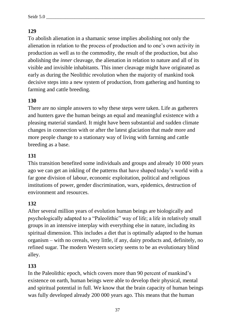### **129**

To abolish alienation in a shamanic sense implies abolishing not only the alienation in relation to the process of production and to one's own activity in production as well as to the commodity, the result of the production, but also abolishing the *inner* cleavage, the alienation in relation to nature and all of its visible and invisible inhabitants. This inner cleavage might have originated as early as during the Neolithic revolution when the majority of mankind took decisive steps into a new system of production, from gathering and hunting to farming and cattle breeding.

#### **130**

There are no simple answers to why these steps were taken. Life as gatherers and hunters gave the human beings an equal and meaningful existence with a pleasing material standard. It might have been substantial and sudden climate changes in connection with or after the latest glaciation that made more and more people change to a stationary way of living with farming and cattle breeding as a base.

#### **131**

This transition benefited some individuals and groups and already 10 000 years ago we can get an inkling of the patterns that have shaped today's world with a far gone division of labour, economic exploitation, political and religious institutions of power, gender discrimination, wars, epidemics, destruction of environment and resources.

#### **132**

After several million years of evolution human beings are biologically and psychologically adapted to a "Paleolithic" way of life; a life in relatively small groups in an intensive interplay with everything else in nature, including its spiritual dimension. This includes a diet that is optimally adapted to the human organism – with no cereals, very little, if any, dairy products and, definitely, no refined sugar. The modern Western society seems to be an evolutionary blind alley.

#### **133**

In the Paleolithic epoch, which covers more than 90 percent of mankind's existence on earth, human beings were able to develop their physical, mental and spiritual potential in full. We know that the brain capacity of human beings was fully developed already 200 000 years ago. This means that the human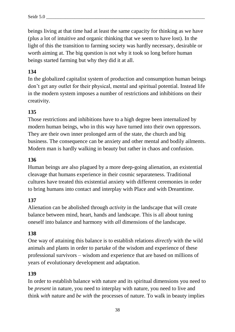beings living at that time had at least the same capacity for thinking as we have (plus a lot of intuitive and organic thinking that we seem to have lost). In the light of this the transition to farming society was hardly necessary, desirable or worth aiming at. The big question is not why it took so long before human beings started farming but why they did it at all.

### **134**

In the globalized capitalist system of production and consumption human beings don't get any outlet for their physical, mental and spiritual potential. Instead life in the modern system imposes a number of restrictions and inhibitions on their creativity.

### **135**

Those restrictions and inhibitions have to a high degree been internalized by modern human beings, who in this way have turned into their own oppressors. They are their own inner prolonged arm of the state, the church and big business. The consequence can be anxiety and other mental and bodily ailments. Modern man is hardly walking in beauty but rather in chaos and confusion.

#### **136**

Human beings are also plagued by a more deep-going alienation, an existential cleavage that humans experience in their cosmic separateness. Traditional cultures have treated this existential anxiety with different ceremonies in order to bring humans into contact and interplay with Place and with Dreamtime.

### **137**

Alienation can be abolished through *activity* in the landscape that will create balance between mind, heart, hands and landscape. This is all about tuning oneself into balance and harmony with *all* dimensions of the landscape.

#### **138**

One way of attaining this balance is to establish relations *directly* with the wild animals and plants in order to partake of the wisdom and experience of these professional survivors – wisdom and experience that are based on millions of years of evolutionary development and adaptation.

#### **139**

In order to establish balance with nature and its spiritual dimensions you need to be *present* in nature, you need to interplay with nature, you need to live and think *with* nature and *be with* the processes of nature. To walk in beauty implies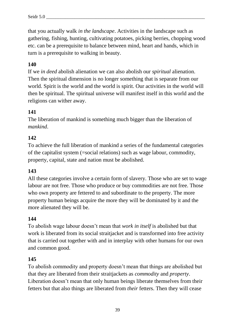that you actually walk *in the landscape*. Activities in the landscape such as gathering, fishing, hunting, cultivating potatoes, picking berries, chopping wood etc. can be a prerequisite to balance between mind, heart and hands, which in turn is a prerequisite to walking in beauty.

### **140**

If we *in deed* abolish alienation we can also abolish our *spiritual* alienation. Then the spiritual dimension is no longer something that is separate from our world. Spirit is the world and the world is spirit. Our activities in the world will then be spiritual. The spiritual universe will manifest itself in this world and the religions can wither away.

#### **141**

The liberation of mankind is something much bigger than the liberation of *mankind*.

#### **142**

To achieve the full liberation of mankind a series of the fundamental categories of the capitalist system (=social relations) such as wage labour, commodity, property, capital, state and nation must be abolished.

#### **143**

All these categories involve a certain form of slavery. Those who are set to wage labour are not free. Those who produce or buy commodities are not free. Those who own property are fettered to and subordinate to the property. The more property human beings acquire the more they will be dominated by it and the more alienated they will be.

#### **144**

To abolish wage labour doesn't mean that *work in itself* is abolished but that work is liberated from its social straitjacket and is transformed into free activity that is carried out together with and in interplay with other humans for our own and common good.

#### **145**

To abolish commodity and property doesn't mean that things are abolished but that they are liberated from their straitjackets as *commodity* and *property*. Liberation doesn't mean that only human beings liberate themselves from their fetters but that also things are liberated from *their* fetters. Then they will cease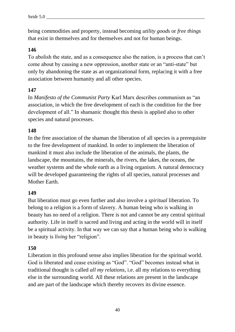being commodities and property, instead becoming *utility goods* or *free things* that exist in themselves and for themselves and not for human beings.

#### **146**

To abolish the state, and as a consequence also the nation, is a process that can't come about by causing a new oppression, another state or an "anti-state" but only by abandoning the state as an organizational form, replacing it with a free association between humanity and all other species.

#### **147**

In *Manifesto of the Communist Party* Karl Marx describes communism as "an association, in which the free development of each is the condition for the free development of all." In shamanic thought this thesis is applied also to other species and natural processes.

#### **148**

In the free association of the shaman the liberation of all species is a prerequisite to the free development of mankind. In order to implement the liberation of mankind it must also include the liberation of the animals, the plants, the landscape, the mountains, the minerals, the rivers, the lakes, the oceans, the weather systems and the whole earth as a living organism. A natural democracy will be developed guaranteeing the rights of all species, natural processes and Mother Earth.

### **149**

But liberation must go even further and also involve a *spiritual* liberation. To belong to a religion is a form of slavery. A human being who is walking in beauty has no need of a religion. There is not and cannot be any central spiritual authority. Life in itself is sacred and living and acting in the world will in itself be a spiritual activity. In that way we can say that a human being who is walking in beauty is *living* her "religion".

#### **150**

Liberation in this profound sense also implies liberation for the spiritual world. God is liberated and cease existing as "God". "God" becomes instead what in traditional thought is called *all my relations*, i.e. all my relations to everything else in the surrounding world. All these relations are present in the landscape and are part of the landscape which thereby recovers its divine essence.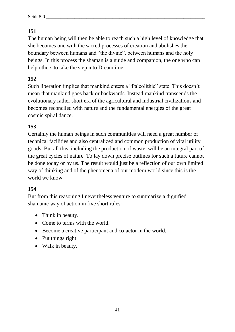# **151**

The human being will then be able to reach such a high level of knowledge that she becomes one with the sacred processes of creation and abolishes the boundary between humans and "the divine", between humans and the holy beings. In this process the shaman is a guide and companion, the one who can help others to take the step into Dreamtime.

## **152**

Such liberation implies that mankind enters a "Paleolithic" state. This doesn't mean that mankind goes back or backwards. Instead mankind transcends the evolutionary rather short era of the agricultural and industrial civilizations and becomes reconciled with nature and the fundamental energies of the great cosmic spiral dance.

## **153**

Certainly the human beings in such communities will need a great number of technical facilities and also centralized and common production of vital utility goods. But all this, including the production of waste, will be an integral part of the great cycles of nature. To lay down precise outlines for such a future cannot be done today or by us. The result would just be a reflection of our own limited way of thinking and of the phenomena of our modern world since this is the world we know.

## **154**

But from this reasoning I nevertheless venture to summarize a dignified shamanic way of action in five short rules:

- Think in beauty.
- Come to terms with the world.
- Become a creative participant and co-actor in the world.
- Put things right.
- Walk in beauty.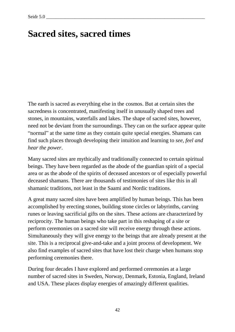# **Sacred sites, sacred times**

The earth is sacred as everything else in the cosmos. But at certain sites the sacredness is concentrated, manifesting itself in unusually shaped trees and stones, in mountains, waterfalls and lakes. The shape of sacred sites, however, need not be deviant from the surroundings. They can on the surface appear quite "normal" at the same time as they contain quite special energies. Shamans can find such places through developing their intuition and learning to *see, feel and hear the power*.

Many sacred sites are mythically and traditionally connected to certain spiritual beings. They have been regarded as the abode of the guardian spirit of a special area or as the abode of the spirits of deceased ancestors or of especially powerful deceased shamans. There are thousands of testimonies of sites like this in all shamanic traditions, not least in the Saami and Nordic traditions.

A great many sacred sites have been amplified by human beings. This has been accomplished by erecting stones, building stone circles or labyrinths, carving runes or leaving sacrificial gifts on the sites. These actions are characterized by reciprocity. The human beings who take part in this reshaping of a site or perform ceremonies on a sacred site will receive energy through these actions. Simultaneously they will give energy to the beings that are already present at the site. This is a reciprocal give-and-take and a joint process of development. We also find examples of sacred sites that have lost their charge when humans stop performing ceremonies there.

During four decades I have explored and performed ceremonies at a large number of sacred sites in Sweden, Norway, Denmark, Estonia, England, Ireland and USA. These places display energies of amazingly different qualities.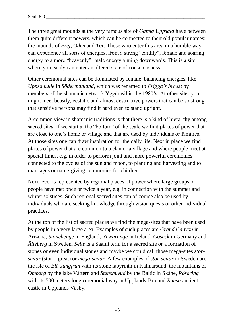The three great mounds at the very famous site of *Gamla Uppsala* have between them quite different powers, which can be connected to their old popular names: the mounds of *Frej*, *Oden* and *Tor*. Those who enter this area in a humble way can experience all sorts of energies, from a strong "earthly", female and soaring energy to a more "heavenly", male energy aiming downwards. This is a site where you easily can enter an altered state of consciousness.

Other ceremonial sites can be dominated by female, balancing energies, like *Uppsa kulle* in *Södermanland,* which was renamed to *Frigga's breast* by members of the shamanic network Yggdrasil in the 1980's. At other sites you might meet beastly, ecstatic and almost destructive powers that can be so strong that sensitive persons may find it hard even to stand upright.

A common view in shamanic traditions is that there is a kind of hierarchy among sacred sites. If we start at the "bottom" of the scale we find places of power that are close to one's home or village and that are used by individuals or families. At those sites one can draw inspiration for the daily life. Next in place we find places of power that are common to a clan or a village and where people meet at special times, e.g. in order to perform joint and more powerful ceremonies connected to the cycles of the sun and moon, to planting and harvesting and to marriages or name-giving ceremonies for children.

Next level is represented by regional places of power where large groups of people have met once or twice a year, e.g. in connection with the summer and winter solstices. Such regional sacred sites can of course also be used by individuals who are seeking knowledge through vision quests or other individual practices.

At the top of the list of sacred places we find the mega-sites that have been used by people in a very large area. Examples of such places are *Grand Canyon* in Arizona, *Stonehenge* in England, *Newgrange* in Ireland, *Goseck* in Germany and *Ålleberg* in Sweden. *Seite* is a Saami term for a sacred site or a formation of stones or even individual stones and maybe we could call those mega-sites *storseitar* (stor = great) or *mega-seitar*. A few examples of *stor-seitar* in Sweden are the isle of *Blå Jungfrun* with its stone labyrinth in Kalmarsund, the mountains of *Omberg* by the lake Vättern and *Stenshuvud* by the Baltic in Skåne, *Rösaring* with its 500 meters long ceremonial way in Upplands-Bro and *Runsa* ancient castle in Upplands Väsby.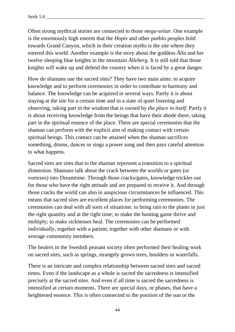Often strong mythical stories are connected to those *mega-seitar*. One example is the enormously high esteem that the *Hopis* and other pueblo peoples hold towards Grand Canyon, which in their creation myths is the site where they entered this world. Another example is the story about the goddess *Ålla* and her twelve sleeping blue knights in the mountain *Ålleberg*. It is still told that those knights will wake up and defend the country when it is faced by a great danger.

How do shamans use the sacred sites? They have two main aims: to acquire knowledge and to perform ceremonies in order to contribute to harmony and balance. The knowledge can be acquired in several ways. Partly it is about staying at the site for a certain time and in a state of quiet listening and observing, taking part in the wisdom that is owned by *the place in itself*. Partly it is about receiving knowledge from the beings that have their abode there, taking part in the spiritual essence of the place. There are special ceremonies that the shaman can perform with the explicit aim of making contact with certain spiritual beings. This contact can be attained when the shaman sacrifices something, drums, dances or sings a power song and then pays careful attention to what happens.

Sacred sites are sites that to the shaman represent a transition to a spiritual dimension. Shamans talk about the crack between the worlds or gates (or vortexes) into Dreamtime. Through those cracks/gates, knowledge trickles out for those who have the right attitude and are prepared to receive it. And through those cracks the world can also in auspicious circumstances be influenced. This means that sacred sites are excellent places for performing ceremonies. The ceremonies can deal with all sorts of situations: to bring rain to the plants in just the right quantity and at the right time; to make the hunting game thrive and multiply; to make sicknesses heal. The ceremonies can be performed individually, together with a patient, together with other shamans or with average community members.

The healers in the Swedish peasant society often performed their healing work on sacred sites, such as springs, strangely grown trees, boulders or waterfalls.

There is an intricate and complex relationship between sacred sites and sacred times. Even if the landscape as a whole is sacred the sacredness is intensified precisely at the sacred sites. And even if all time is sacred the sacredness is intensified at certain moments. There are special days, or phases, that have a heightened essence. This is often connected to the position of the sun or the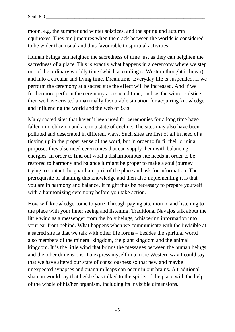moon, e.g. the summer and winter solstices, and the spring and autumn equinoxes. They are junctures when the crack between the worlds is considered to be wider than usual and thus favourable to spiritual activities.

Human beings can heighten the sacredness of time just as they can heighten the sacredness of a place. This is exactly what happens in a ceremony where we step out of the ordinary worldly time (which according to Western thought is linear) and into a circular and living time, Dreamtime. Everyday life is suspended. If we perform the ceremony at a sacred site the effect will be increased. And if we furthermore perform the ceremony at a sacred time, such as the winter solstice, then we have created a maximally favourable situation for acquiring knowledge and influencing the world and the web of *Urd*.

Many sacred sites that haven't been used for ceremonies for a long time have fallen into oblivion and are in a state of decline. The sites may also have been polluted and desecrated in different ways. Such sites are first of all in need of a tidying up in the proper sense of the word, but in order to fulfil their original purposes they also need ceremonies that can supply them with balancing energies. In order to find out what a disharmonious site needs in order to be restored to harmony and balance it might be proper to make a soul journey trying to contact the guardian spirit of the place and ask for information. The prerequisite of attaining this knowledge and then also implementing it is that you are in harmony and balance. It might thus be necessary to prepare yourself with a harmonizing ceremony before you take action.

How will knowledge come to you? Through paying attention to and listening to the place with your inner seeing and listening. Traditional Navajos talk about the little wind as a messenger from the holy beings, whispering information into your ear from behind. What happens when we communicate with the invisible at a sacred site is that we talk with other life forms – besides the spiritual world also members of the mineral kingdom, the plant kingdom and the animal kingdom. It is the little wind that brings the messages between the human beings and the other dimensions. To express myself in a more Western way I could say that we have altered our state of consciousness so that new and maybe unexpected synapses and quantum leaps can occur in our brains. A traditional shaman would say that he/she has talked to the spirits of the place with the help of the whole of his/her organism, including its invisible dimensions.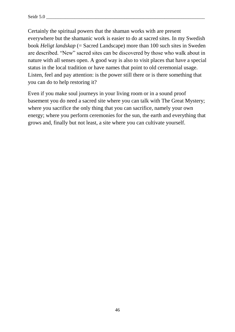Certainly the spiritual powers that the shaman works with are present everywhere but the shamanic work is easier to do at sacred sites. In my Swedish book *Heligt landskap* (= Sacred Landscape) more than 100 such sites in Sweden are described. "New" sacred sites can be discovered by those who walk about in nature with all senses open. A good way is also to visit places that have a special status in the local tradition or have names that point to old ceremonial usage. Listen, feel and pay attention: is the power still there or is there something that you can do to help restoring it?

Even if you make soul journeys in your living room or in a sound proof basement you do need a sacred site where you can talk with The Great Mystery; where you sacrifice the only thing that you can sacrifice, namely your own energy; where you perform ceremonies for the sun, the earth and everything that grows and, finally but not least, a site where you can cultivate yourself.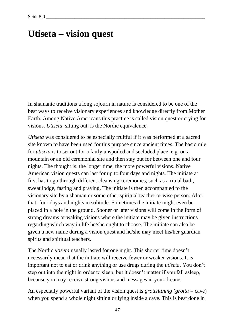# **Utiseta – vision quest**

In shamanic traditions a long sojourn in nature is considered to be one of the best ways to receive visionary experiences and knowledge directly from Mother Earth. Among Native Americans this practice is called vision quest or crying for visions. *Utiseta*, sitting out, is the Nordic equivalence.

*Utiseta* was considered to be especially fruitful if it was performed at a sacred site known to have been used for this purpose since ancient times. The basic rule for *utiseta* is to set out for a fairly unspoiled and secluded place, e.g. on a mountain or an old ceremonial site and then stay out for between one and four nights. The thought is: the longer time, the more powerful visions. Native American vision quests can last for up to four days and nights. The initiate at first has to go through different cleansing ceremonies, such as a ritual bath, sweat lodge, fasting and praying. The initiate is then accompanied to the visionary site by a shaman or some other spiritual teacher or wise person. After that: four days and nights in solitude. Sometimes the initiate might even be placed in a hole in the ground. Sooner or later visions will come in the form of strong dreams or waking visions where the initiate may be given instructions regarding which way in life he/she ought to choose. The initiate can also be given a new name during a vision quest and he/she may meet his/her guardian spirits and spiritual teachers.

The Nordic *utiseta* usually lasted for one night. This shorter time doesn't necessarily mean that the initiate will receive fewer or weaker visions. It is important not to eat or drink anything or use drugs during the *utiseta*. You don't step out into the night in order to sleep, but it doesn't matter if you fall asleep, because you may receive strong visions and messages in your dreams.

An especially powerful variant of the vision quest is *grottsittning* (*grotta* = cave) when you spend a whole night sitting or lying inside a cave. This is best done in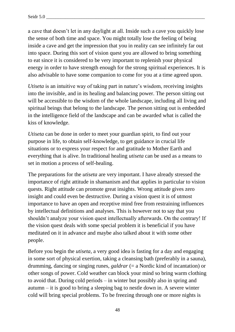a cave that doesn't let in any daylight at all. Inside such a cave you quickly lose the sense of both time and space. You might totally lose the feeling of being inside a cave and get the impression that you in reality can see infinitely far out into space. During this sort of vision quest you are allowed to bring something to eat since it is considered to be very important to replenish your physical energy in order to have strength enough for the strong spiritual experiences. It is also advisable to have some companion to come for you at a time agreed upon.

*Utiseta* is an intuitive way of taking part in nature's wisdom, receiving insights into the invisible, and in its healing and balancing power. The person sitting out will be accessible to the wisdom of the whole landscape, including all living and spiritual beings that belong to the landscape. The person sitting out is embedded in the intelligence field of the landscape and can be awarded what is called the kiss of knowledge.

*Utiseta* can be done in order to meet your guardian spirit, to find out your purpose in life, to obtain self-knowledge, to get guidance in crucial life situations or to express your respect for and gratitude to Mother Earth and everything that is alive. In traditional healing *utiseta* can be used as a means to set in motion a process of self-healing.

The preparations for the *utiseta* are very important. I have already stressed the importance of right attitude in shamanism and that applies in particular to vision quests. Right attitude can promote great insights. Wrong attitude gives zero insight and could even be destructive. During a vision quest it is of utmost importance to have an open and receptive mind free from restraining influences by intellectual definitions and analyses. This is however not to say that you shouldn't analyze your vision quest intellectually afterwards. On the contrary! If the vision quest deals with some special problem it is beneficial if you have meditated on it in advance and maybe also talked about it with some other people.

Before you begin the *utiseta,* a very good idea is fasting for a day and engaging in some sort of physical exertion, taking a cleansing bath (preferably in a sauna), drumming, dancing or singing runes, *galdrar* (= a Nordic kind of incantation) or other songs of power. Cold weather can block your mind so bring warm clothing to avoid that. During cold periods – in winter but possibly also in spring and autumn – it is good to bring a sleeping bag to nestle down in. A severe winter cold will bring special problems. To be freezing through one or more nights is

48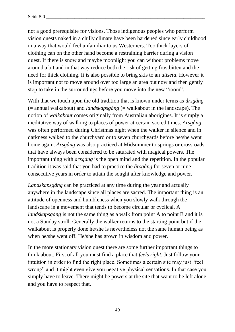not a good prerequisite for visions. Those indigenous peoples who perform vision quests naked in a chilly climate have been hardened since early childhood in a way that would feel unfamiliar to us Westerners. Too thick layers of clothing can on the other hand become a restraining barrier during a vision quest. If there is snow and maybe moonlight you can without problems move around a bit and in that way reduce both the risk of getting frostbitten and the need for thick clothing. It is also possible to bring skis to an *utiseta*. However it is important not to move around over too large an area but now and then gently stop to take in the surroundings before you move into the new "room".

With that we touch upon the old tradition that is known under terms as *årsgång* (= annual walkabout) and *landskapsgång* (= walkabout in the landscape). The notion of *walkabout* comes originally from Australian aborigines. It is simply a meditative way of walking to places of power at certain sacred times. *Årsgång* was often performed during Christmas night when the walker in silence and in darkness walked to the churchyard or to seven churchyards before he/she went home again. *Årsgång* was also practiced at Midsummer to springs or crossroads that have always been considered to be saturated with magical powers. The important thing with *årsgång* is the open mind and the repetition. In the popular tradition it was said that you had to practice the *årsgång* for seven or nine consecutive years in order to attain the sought after knowledge and power.

*Landskapsgång* can be practiced at any time during the year and actually anywhere in the landscape since all places are sacred. The important thing is an attitude of openness and humbleness when you slowly walk through the landscape in a movement that tends to become circular or cyclical. A *landskapsgång* is not the same thing as a walk from point A to point B and it is not a Sunday stroll. Generally the walker returns to the starting point but if the walkabout is properly done he/she is nevertheless not the same human being as when he/she went off. He/she has grown in wisdom and power.

In the more stationary vision quest there are some further important things to think about. First of all you must find a place that *feels right*. Just follow your intuition in order to find the right place. Sometimes a certain site may just "feel wrong" and it might even give you negative physical sensations. In that case you simply have to leave. There might be powers at the site that want to be left alone and you have to respect that.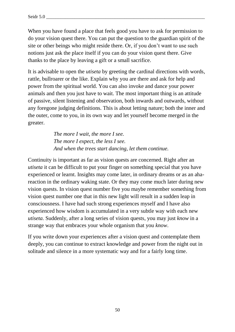When you have found a place that feels good you have to ask for permission to do your vision quest there. You can put the question to the guardian spirit of the site or other beings who might reside there. Or, if you don't want to use such notions just ask the place itself if you can do your vision quest there. Give thanks to the place by leaving a gift or a small sacrifice.

It is advisable to open the *utiseta* by greeting the cardinal directions with words, rattle, bullroarer or the like. Explain why you are there and ask for help and power from the spiritual world. You can also invoke and dance your power animals and then you just have to wait. The most important thing is an attitude of passive, silent listening and observation, both inwards and outwards, without any foregone judging definitions. This is about letting nature; both the inner and the outer, come to you, in its own way and let yourself become merged in the greater.

> *The more I wait, the more I see. The more I expect, the less I see. And when the trees start dancing, let them continue.*

Continuity is important as far as vision quests are concerned. Right after an *utiseta* it can be difficult to put your finger on something special that you have experienced or learnt. Insights may come later, in ordinary dreams or as an ahareaction in the ordinary waking state. Or they may come much later during new vision quests. In vision quest number five you maybe remember something from vision quest number one that in this new light will result in a sudden leap in consciousness. I have had such strong experiences myself and I have also experienced how wisdom is accumulated in a very subtle way with each new *utiseta.* Suddenly, after a long series of vision quests, you may just *know* in a strange way that embraces your whole organism that you *know*.

If you write down your experiences after a vision quest and contemplate them deeply, you can continue to extract knowledge and power from the night out in solitude and silence in a more systematic way and for a fairly long time.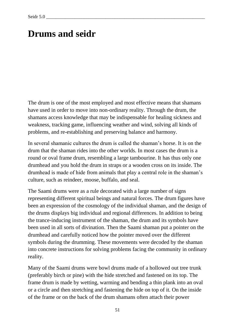# **Drums and seidr**

The drum is one of the most employed and most effective means that shamans have used in order to move into non-ordinary reality. Through the drum, the shamans access knowledge that may be indispensable for healing sickness and weakness, tracking game, influencing weather and wind, solving all kinds of problems, and re-establishing and preserving balance and harmony.

In several shamanic cultures the drum is called the shaman's horse. It is on the drum that the shaman rides into the other worlds. In most cases the drum is a round or oval frame drum, resembling a large tambourine. It has thus only one drumhead and you hold the drum in straps or a wooden cross on its inside. The drumhead is made of hide from animals that play a central role in the shaman's culture, such as reindeer, moose, buffalo, and seal.

The Saami drums were as a rule decorated with a large number of signs representing different spiritual beings and natural forces. The drum figures have been an expression of the cosmology of the individual shaman, and the design of the drums displays big individual and regional differences. In addition to being the trance-inducing instrument of the shaman, the drum and its symbols have been used in all sorts of divination. Then the Saami shaman put a pointer on the drumhead and carefully noticed how the pointer moved over the different symbols during the drumming. These movements were decoded by the shaman into concrete instructions for solving problems facing the community in ordinary reality.

Many of the Saami drums were bowl drums made of a hollowed out tree trunk (preferably birch or pine) with the hide stretched and fastened on its top. The frame drum is made by wetting, warming and bending a thin plank into an oval or a circle and then stretching and fastening the hide on top of it. On the inside of the frame or on the back of the drum shamans often attach their power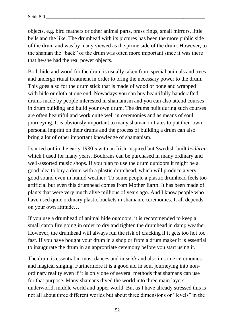objects, e.g. bird feathers or other animal parts, brass rings, small mirrors, little bells and the like. The drumhead with its pictures has been the more public side of the drum and was by many viewed as the prime side of the drum. However, to the shaman the "back" of the drum was often more important since it was there that he/she had the real power objects.

Both hide and wood for the drum is usually taken from special animals and trees and undergo ritual treatment in order to bring the necessary power to the drum. This goes also for the drum stick that is made of wood or bone and wrapped with hide or cloth at one end. Nowadays you can buy beautifully handcrafted drums made by people interested in shamanism and you can also attend courses in drum building and build your own drum. The drums built during such courses are often beautiful and work quite well in ceremonies and as means of soul journeying. It is obviously important to many shaman initiates to put their own personal imprint on their drums and the process of building a drum can also bring a lot of other important knowledge of shamanism.

I started out in the early 1980's with an Irish-inspired but Swedish-built *bodhran*  which I used for many years. Bodhrans can be purchased in many ordinary and well-assorted music shops. If you plan to use the drum outdoors it might be a good idea to buy a drum with a plastic drumhead, which will produce a very good sound even in humid weather. To some people a plastic drumhead feels too artificial but even this drumhead comes from Mother Earth. It has been made of plants that were very much alive millions of years ago. And I know people who have used quite ordinary plastic buckets in shamanic ceremonies. It all depends on your own attitude…

If you use a drumhead of animal hide outdoors, it is recommended to keep a small camp fire going in order to dry and tighten the drumhead in damp weather. However, the drumhead will always run the risk of cracking if it gets too hot too fast. If you have bought your drum in a shop or from a drum maker it is essential to inaugurate the drum in an appropriate ceremony before you start using it.

The drum is essential in most dances and in *seidr* and also in some ceremonies and magical singing. Furthermore it is a good aid in soul journeying into nonordinary reality even if it is only one of several methods that shamans can use for that purpose. Many shamans dived the world into three main layers; underworld, middle world and upper world. But as I have already stressed this is not all about three different worlds but about three dimensions or "levels" in the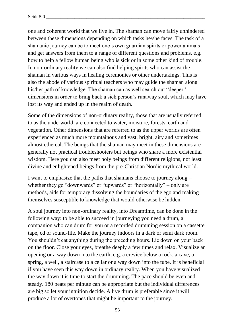one and coherent world that we live in. The shaman can move fairly unhindered between these dimensions depending on which tasks he/she faces. The task of a shamanic journey can be to meet one's own guardian spirits or power animals and get answers from them to a range of different questions and problems, e.g. how to help a fellow human being who is sick or in some other kind of trouble. In non-ordinary reality we can also find helping spirits who can assist the shaman in various ways in healing ceremonies or other undertakings. This is also the abode of various spiritual teachers who may guide the shaman along his/her path of knowledge. The shaman can as well search out "deeper" dimensions in order to bring back a sick person's runaway soul, which may have lost its way and ended up in the realm of death.

Some of the dimensions of non-ordinary reality, those that are usually referred to as the underworld, are connected to water, moisture, forests, earth and vegetation. Other dimensions that are referred to as the upper worlds are often experienced as much more mountainous and vast, bright, airy and sometimes almost ethereal. The beings that the shaman may meet in these dimensions are generally not practical troubleshooters but beings who share a more existential wisdom. Here you can also meet holy beings from different religions, not least divine and enlightened beings from the pre-Christian Nordic mythical world.

I want to emphasize that the paths that shamans choose to journey along – whether they go "downwards" or "upwards" or "horizontally" – only are methods, aids for temporary dissolving the boundaries of the ego and making themselves susceptible to knowledge that would otherwise be hidden.

A soul journey into non-ordinary reality, into Dreamtime, can be done in the following way: to be able to succeed in journeying you need a drum, a companion who can drum for you or a recorded drumming session on a cassette tape, cd or sound-file. Make the journey indoors in a dark or semi dark room. You shouldn't eat anything during the preceding hours. Lie down on your back on the floor. Close your eyes, breathe deeply a few times and relax. Visualize an opening or a way down into the earth, e.g. a crevice below a rock, a cave, a spring, a well, a staircase to a cellar or a way down into the tube. It is beneficial if you have seen this way down in ordinary reality. When you have visualized the way down it is time to start the drumming. The pace should be even and steady. 180 beats per minute can be appropriate but the individual differences are big so let your intuition decide. A live drum is preferable since it will produce a lot of overtones that might be important to the journey.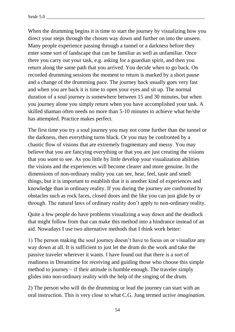When the drumming begins it is time to start the journey by visualizing how you direct your steps through the chosen way down and further on into the unseen. Many people experience passing through a tunnel or a darkness before they enter some sort of landscape that can be familiar as well as unfamiliar. Once there you carry out your task, e.g. asking for a guardian spirit, and then you return along the same path that you arrived. You decide when to go back. On recorded drumming sessions the moment to return is marked by a short pause and a change of the drumming pace. The journey back usually goes very fast and when you are back it is time to open your eyes and sit up. The normal duration of a soul journey is somewhere between 15 and 30 minutes, but when you journey alone you simply return when you have accomplished your task. A skilled shaman often needs no more than 5-10 minutes to achieve what he/she has attempted. Practice makes perfect.

The first time you try a soul journey you may not come further than the tunnel or the darkness, then everything turns black. Or you may be confronted by a chaotic flow of visions that are extremely fragmentary and messy. You may believe that you are fancying everything or that you are just creating the visions that you *want* to see. As you little by little develop your visualization abilities the visions and the experiences will become clearer and more genuine. In the dimensions of non-ordinary reality you can see, hear, feel, taste and smell things, but it is important to establish that it is another kind of experiences and knowledge than in ordinary reality. If you during the journey are confronted by obstacles such as rock faces, closed doors and the like you can just glide by or through. The natural laws of ordinary reality don't apply to non-ordinary reality.

Quite a few people do have problems visualizing a way down and the deadlock that might follow from that can make this method into a hindrance instead of an aid. Nowadays I use two alternative methods that I think work better:

1) The person making the soul journey doesn't have to focus on or visualize any way down at all. It is sufficient to just let the drum do the work and take the passive traveler wherever it wants. I have found out that there is a sort of readiness in Dreamtime for receiving and guiding those who choose this simple method to journey – if their attitude is humble enough. The traveler simply glides into non-ordinary reality with the help of the singing of the drum.

2) The person who will do the drumming or lead the journey can start with an oral instruction. This is very close to what C.G. Jung termed *active imagination*.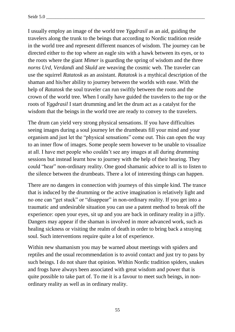I usually employ an image of the world tree *Yggdrasil* as an aid, guiding the travelers along the trunk to the beings that according to Nordic tradition reside in the world tree and represent different nuances of wisdom. The journey can be directed either to the top where an eagle sits with a hawk between its eyes, or to the roots where the giant *Mimer* is guarding the spring of wisdom and the three *norns Urd, Verdandi* and *Skuld* are weaving the cosmic web. The traveler can use the squirrel *Ratatosk* as an assistant. *Ratatosk* is a mythical description of the shaman and his/her ability to journey between the worlds with ease. With the help of *Ratatosk* the soul traveler can run swiftly between the roots and the crown of the world tree. When I orally have guided the travelers to the top or the roots of *Yggdrasil* I start drumming and let the drum act as a catalyst for the wisdom that the beings in the world tree are ready to convey to the travelers.

The drum can yield very strong physical sensations. If you have difficulties seeing images during a soul journey let the drumbeats fill your mind and your organism and just let the "physical sensations" come out. This can open the way to an inner flow of images. Some people seem however to be unable to visualize at all. I have met people who couldn't see any images at all during drumming sessions but instead learnt how to journey with the help of their hearing. They could "hear" non-ordinary reality. One good shamanic advice to all is to listen to the silence between the drumbeats. There a lot of interesting things can happen.

There are no dangers in connection with journeys of this simple kind. The trance that is induced by the drumming or the active imagination is relatively light and no one can "get stuck" or "disappear" in non-ordinary reality. If you get into a traumatic and undesirable situation you can use a patent method to break off the experience: open your eyes, sit up and you are back in ordinary reality in a jiffy. Dangers may appear if the shaman is involved in more advanced work, such as healing sickness or visiting the realm of death in order to bring back a straying soul. Such interventions require quite a lot of experience.

Within new shamanism you may be warned about meetings with spiders and reptiles and the usual recommendation is to avoid contact and just try to pass by such beings. I do not share that opinion. Within Nordic tradition spiders, snakes and frogs have always been associated with great wisdom and power that is quite possible to take part of. To me it is a favour to meet such beings, in nonordinary reality as well as in ordinary reality.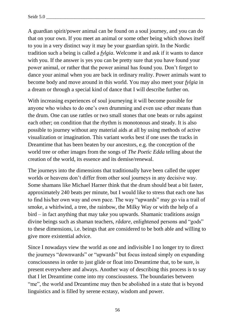A guardian spirit/power animal can be found on a soul journey, and you can do that on your own. If you meet an animal or some other being which shows itself to you in a very distinct way it may be your guardian spirit. In the Nordic tradition such a being is called a *fylgia*. Welcome it and ask if it wants to dance with you. If the answer is yes you can be pretty sure that you have found your power animal, or rather that the power animal has found you. Don't forget to dance your animal when you are back in ordinary reality. Power animals want to become body and move around in this world. You may also meet your *fylgia* in a dream or through a special kind of dance that I will describe further on.

With increasing experiences of soul journeying it will become possible for anyone who wishes to do one's own drumming and even use other means than the drum. One can use rattles or two small stones that one beats or rubs against each other; on condition that the rhythm is monotonous and steady. It is also possible to journey without any material aids at all by using methods of active visualization or imagination. This variant works best if one uses the tracks in Dreamtime that has been beaten by our ancestors, e.g. the conception of the world tree or other images from the songs of *The Poetic Edda* telling about the creation of the world, its essence and its demise/renewal.

The journeys into the dimensions that traditionally have been called the upper worlds or heavens don't differ from other soul journeys in any decisive way. Some shamans like Michael Harner think that the drum should beat a bit faster, approximately 240 beats per minute, but I would like to stress that each one has to find his/her own way and own pace. The way "upwards" may go via a trail of smoke, a whirlwind, a tree, the rainbow, the Milky Way or with the help of a bird – in fact anything that may take you upwards. Shamanic traditions assign divine beings such as shaman teachers, *rådare*, enlightened persons and "gods" to these dimensions, i.e. beings that are considered to be both able and willing to give more existential advice.

Since I nowadays view the world as one and indivisible I no longer try to direct the journeys "downwards" or "upwards" but focus instead simply on expanding consciousness in order to just glide or float into Dreamtime that, to be sure, is present everywhere and always. Another way of describing this process is to say that I let Dreamtime come into my consciousness. The boundaries between "me", the world and Dreamtime may then be abolished in a state that is beyond linguistics and is filled by serene ecstasy, wisdom and power.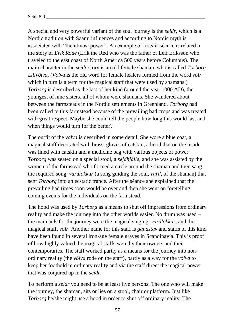A special and very powerful variant of the soul journey is the *seidr*, which is a Nordic tradition with Saami influences and according to Nordic myth is associated with "the utmost power". An example of a *seidr* séance is related in the story of *Erik Röde* (Erik the Red who was the father of Leif Eriksson who traveled to the east coast of North America 500 years before Columbus). The main character in the *seidr* story is an old female shaman, who is called *Torborg Lillvölva*. (*Völva* is the old word for female healers formed from the word *völr* which in turn is a term for the magical staff that were used by shamans.) *Torborg* is described as the last of her kind (around the year 1000 AD), the youngest of nine sisters, all of whom were shamans. She wandered about between the farmsteads in the Nordic settlements in Greenland. *Torborg* had been called to this farmstead because of the prevailing bad crops and was treated with great respect. Maybe she could tell the people how long this would last and when things would turn for the better?

The outfit of the *völva* is described in some detail. She wore a blue coat, a magical staff decorated with brass, gloves of catskin, a hood that on the inside was lined with catskin and a medicine bag with various objects of power. *Torborg* was seated on a special stool, a *sejdhjälle*, and she was assisted by the women of the farmstead who formed a circle around the shaman and then sang the required song, *vardlokkur* (a song guiding the soul, *vard,* of the shaman) that sent *Torborg* into an ecstatic trance. After the séance she explained that the prevailing bad times soon would be over and then she went on foretelling coming events for the individuals on the farmstead.

The hood was used by *Torborg* as a means to shut off impressions from ordinary reality and make the journey into the other worlds easier. No drum was used – the main aids for the journey were the magical singing, *vardlokkur*, and the magical staff, *völr*. Another name for this staff is *gandstav* and staffs of this kind have been found in several iron-age female graves in Scandinavia. This is proof of how highly valued the magical staffs were by their owners and their contemporaries. The staff worked partly as a means for the journey into nonordinary reality (the *völva* rode on the staff), partly as a way for the *völva* to keep her foothold in ordinary reality and via the staff direct the magical power that was conjured up in the *seidr*.

To perform a *seidr* you need to be at least five persons. The one who will make the journey, the shaman, sits or lies on a stool, chair or platform. Just like *Torborg* he/she might use a hood in order to shut off ordinary reality. The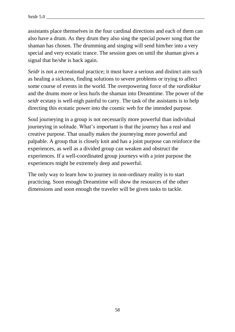assistants place themselves in the four cardinal directions and each of them can also have a drum. As they drum they also sing the special power song that the shaman has chosen. The drumming and singing will send him/her into a very special and very ecstatic trance. The session goes on until the shaman gives a signal that he/she is back again.

*Seidr* is not a recreational practice; it must have a serious and distinct aim such as healing a sickness, finding solutions to severe problems or trying to affect some course of events in the world. The overpowering force of the *vardlokkur* and the drums more or less hurls the shaman into Dreamtime. The power of the *seidr* ecstasy is well-nigh painful to carry. The task of the assistants is to help directing this ecstatic power into the cosmic web for the intended purpose.

Soul journeying in a group is not necessarily more powerful than individual journeying in solitude. What's important is that the journey has a real and creative purpose. That usually makes the journeying more powerful and palpable. A group that is closely knit and has a joint purpose can reinforce the experiences, as well as a divided group can weaken and obstruct the experiences. If a well-coordinated group journeys with a joint purpose the experiences might be extremely deep and powerful.

The only way to learn how to journey in non-ordinary reality is to start practicing. Soon enough Dreamtime will show the resources of the other dimensions and soon enough the traveler will be given tasks to tackle.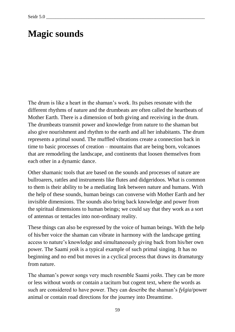# **Magic sounds**

The drum is like a heart in the shaman's work. Its pulses resonate with the different rhythms of nature and the drumbeats are often called the heartbeats of Mother Earth. There is a dimension of both giving and receiving in the drum. The drumbeats transmit power and knowledge from nature to the shaman but also give nourishment and rhythm to the earth and all her inhabitants. The drum represents a primal sound. The muffled vibrations create a connection back in time to basic processes of creation – mountains that are being born, volcanoes that are remodeling the landscape, and continents that loosen themselves from each other in a dynamic dance.

Other shamanic tools that are based on the sounds and processes of nature are bullroarers, rattles and instruments like flutes and didgeridoos. What is common to them is their ability to be a mediating link between nature and humans. With the help of these sounds, human beings can converse with Mother Earth and her invisible dimensions. The sounds also bring back knowledge and power from the spiritual dimensions to human beings; we could say that they work as a sort of antennas or tentacles into non-ordinary reality.

These things can also be expressed by the voice of human beings. With the help of his/her voice the shaman can vibrate in harmony with the landscape getting access to nature's knowledge and simultaneously giving back from his/her own power. The Saami *yoik* is a typical example of such primal singing. It has no beginning and no end but moves in a cyclical process that draws its dramaturgy from nature.

The shaman's power songs very much resemble Saami *yoiks*. They can be more or less without words or contain a taciturn but cogent text, where the words as such are considered to have power. They can describe the shaman's *fylgia*/power animal or contain road directions for the journey into Dreamtime.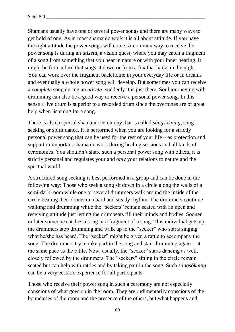Shamans usually have one or several power songs and there are many ways to get hold of one. As in most shamanic work it is all about attitude. If you have the right attitude the power songs will come. A common way to receive the power song is during an *utiseta*, a vision quest, where you may catch a fragment of a song from something that you hear in nature or with your inner hearing. It might be from a bird that sings at dawn or from a fox that barks in the night. You can work over the fragment back home in your everyday life or in dreams and eventually a whole power song will develop. But sometimes you can receive a *complete* song during an *utiseta*; suddenly it is just there. Soul journeying with drumming can also be a good way to receive a personal power song. In this sense a live drum is superior to a recorded drum since the overtones are of great help when listening for a song.

There is also a special shamanic ceremony that is called *sångsökning*, song seeking or spirit dance. It is performed when you are looking for a strictly personal power song that can be used for the rest of your life – as protection and support in important shamanic work during healing sessions and all kinds of ceremonies. You shouldn't share such a personal power song with others; it is strictly personal and regulates your and *only* your relations to nature and the spiritual world.

A structured song seeking is best performed in a group and can be done in the following way: Those who seek a song sit down in a circle along the walls of a semi-dark room while one or several drummers walk around the inside of the circle beating their drums in a hard and steady rhythm. The drummers continue walking and drumming while the "seekers" remain seated with an open and receiving attitude just letting the drumbeats fill their minds and bodies. Sooner or later someone catches a song or a fragment of a song. This individual gets up, the drummers stop drumming and walk up to the "seeker" who starts singing what he/she has heard. The "seeker" might be given a rattle to accompany the song. The drummers try to take part in the song and start drumming again – at the same pace as the rattle. Now, usually, the "seeker" starts dancing as well, closely followed by the drummers. The "seekers" sitting in the circle remain seated but can help with rattles and by taking part in the song. Such *sångsökning* can be a very ecstatic experience for all participants.

Those who receive their power song in such a ceremony are not especially conscious of what goes on in the room. They are rudimentarily conscious of the boundaries of the room and the presence of the others, but what happens and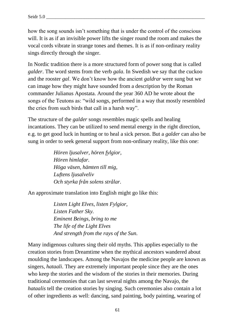how the song sounds isn't something that is under the control of the conscious will. It is as if an invisible power lifts the singer round the room and makes the vocal cords vibrate in strange tones and themes. It is as if non-ordinary reality sings directly through the singer.

In Nordic tradition there is a more structured form of power song that is called *galder*. The word stems from the verb *gala*. In Swedish we say that the cuckoo and the rooster *gal*. We don't know how the ancient *galdrar* were sung but we can image how they might have sounded from a description by the Roman commander Julianus Apostata. Around the year 360 AD he wrote about the songs of the Teutons as: "wild songs, performed in a way that mostly resembled the cries from such birds that call in a harsh way".

The structure of the *galder* songs resembles magic spells and healing incantations. They can be utilized to send mental energy in the right direction, e.g. to get good luck in hunting or to heal a sick person. But a *galder* can also be sung in order to seek general support from non-ordinary reality, like this one:

> *Hören ljusalver, hören fylgior, Hören himlafar. Höga väsen, hämten till mig, Luftens ljusalveliv Och styrka från solens strålar.*

An approximate translation into English might go like this:

*Listen Light Elves, listen Fylgior, Listen Father Sky. Eminent Beings, bring to me The life of the Light Elves And strength from the rays of the Sun.*

Many indigenous cultures sing their old myths. This applies especially to the creation stories from Dreamtime when the mythical ancestors wandered about moulding the landscapes. Among the Navajos the medicine people are known as singers, *hataali*. They are extremely important people since they are the ones who keep the stories and the wisdom of the stories in their memories. During traditional ceremonies that can last several nights among the Navajo, the *hataalis* tell the creation stories by singing. Such ceremonies also contain a lot of other ingredients as well: dancing, sand painting, body painting, wearing of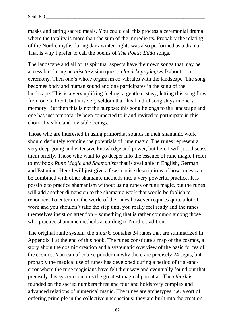masks and eating sacred meals. You could call this process a ceremonial drama where the totality is more than the sum of the ingredients. Probably the relating of the Nordic myths during dark winter nights was also performed as a drama. That is why I prefer to call the poems of *The Poetic Edda* songs.

The landscape and all of its spiritual aspects have their own songs that may be accessible during an *utiseta*/vision quest, a *landskapsgång*/walkabout or a ceremony. Then one's whole organism co-vibrates with the landscape. The song becomes body and human sound and one participates in the song of the landscape. This is a very uplifting feeling, a gentle ecstasy, letting this song flow from one's throat, but it is very seldom that this kind of song stays in one's memory. But then this is not the purpose; this song belongs to the landscape and one has just temporarily been connected to it and invited to participate in this choir of visible and invisible beings.

Those who are interested in using primordial sounds in their shamanic work should definitely examine the potentials of rune magic. The runes represent a very deep-going and extensive knowledge and power, but here I will just discuss them briefly. Those who want to go deeper into the essence of rune magic I refer to my book *Rune Magic and Shamanism* that is available in English, German and Estonian. Here I will just give a few concise descriptions of how runes can be combined with other shamanic methods into a very powerful practice. It is possible to practice shamanism without using runes or rune magic, but the runes will add another dimension to the shamanic work that would be foolish to renounce. To enter into the world of the runes however requires quite a lot of work and you shouldn't take the step until you really feel ready and the runes themselves insist on attention – something that is rather common among those who practice shamanic methods according to Nordic tradition.

The original runic system, the *uthark*, contains 24 runes that are summarized in Appendix 1 at the end of this book. The runes constitute a map of the cosmos, a story about the cosmic creation and a systematic overview of the basic forces of the cosmos. You can of course ponder on why there are precisely 24 signs, but probably the magical use of runes has developed during a period of trial-anderror where the rune magicians have felt their way and eventually found out that precisely this system contains the greatest magical potential. The *uthark* is founded on the sacred numbers three and four and holds very complex and advanced relations of numerical magic. The runes are archetypes, i.e. a sort of ordering principle in the collective unconscious; they are built into the creation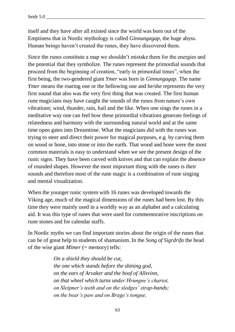itself and they have after all existed since the world was born out of the Emptiness that in Nordic mythology is called *Ginnungagap*, the huge abyss. Human beings haven't created the runes, they have discovered them.

Since the runes constitute a map we shouldn't mistake them for the energies and the potential that they symbolize. The runes represent the primordial sounds that proceed from the beginning of creation, "early in primordial times", when the first being, the two-gendered giant *Ymer* was born in *Ginnungagap*. The name *Ymer* means the roaring one or the bellowing one and he/she represents the very first sound that also was the very first thing that was created. The first human rune magicians may have caught the sounds of the runes from nature's own vibrations; wind, thunder, rain, hail and the like. When one sings the runes in a meditative way one can feel how these primordial vibrations generate feelings of relatedness and harmony with the surrounding natural world and at the same time open gates into Dreamtime. What the magicians did with the runes was trying to steer and direct their power for magical purposes, e.g. by carving them on wood or bone, into stone or into the earth. That wood and bone were the most common materials is easy to understand when we see the present design of the runic signs. They have been carved with knives and that can explain the absence of rounded shapes. However the most important thing with the runes is their sounds and therefore most of the rune magic is a combination of rune singing and mental visualization.

When the younger runic system with 16 runes was developed towards the Viking age, much of the magical dimensions of the runes had been lost. By this time they were mainly used in a worldly way as an alphabet and a calculating aid. It was this type of runes that were used for commemorative inscriptions on rune stones and for calendar staffs.

In Nordic myths we can find important stories about the origin of the runes that can be of great help to students of shamanism. In the *Song of Sigrdrifa* the head of the wise giant *Mimer* (= memory) tells:

> *On a shield they should be cut, the one which stands before the shining god, on the ears of Arvaker and the hoof of Allsvinn, on that wheel which turns under Hrungne's chariot, on Sleipner's teeth and on the sledges' strap-bands; on the bear's paw and on Brage's tongue,*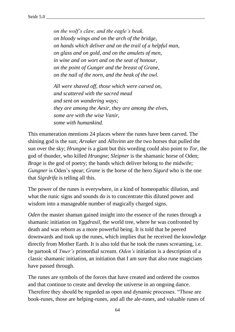*on the wolf's claw, and the eagle's beak, on bloody wings and on the arch of the bridge, on hands which deliver and on the trail of a helpful man, on glass and on gold, and on the amulets of men, in wine and on wort and on the seat of honour, on the point of Gunger and the breast of Grane, on the nail of the norn, and the beak of the owl.* 

*All were shaved off, those which were carved on, and scattered with the sacred mead and sent on wandering ways; they are among the Aesir, they are among the elves, some are with the wise Vanir, some with humankind.*

This enumeration mentions 24 places where the runes have been carved. The shining god is the sun; *Arvaker* and *Allsvinn* are the two horses that pulled the sun over the sky; *Hrungne* is a giant but this wording could also point to *Tor*, the god of thunder, who killed *Hrungne*; *Sleipner* is the shamanic horse of Oden; *Brage* is the god of poetry; the hands which deliver belong to the midwife; *Gungner* is Oden's spear; *Grane* is the horse of the hero *Sigurd* who is the one that *Sigrdrifa* is telling all this.

The power of the runes is everywhere, in a kind of homeopathic dilution, and what the runic signs and sounds do is to concentrate this diluted power and wisdom into a manageable number of magically charged signs.

*Oden* the master shaman gained insight into the essence of the runes through a shamanic initiation on *Yggdrasil*, the world tree, where he was confronted by death and was reborn as a more powerful being. It is told that he peered downwards and took up the runes, which implies that he received the knowledge directly from Mother Earth. It is also told that he took the runes screaming, i.e. he partook of *Ymer's* primordial scream. *Oden's* initiation is a description of a classic shamanic initiation, an initiation that I am sure that also rune magicians have passed through.

The runes are symbols of the forces that have created and ordered the cosmos and that continue to create and develop the universe in an ongoing dance. Therefore they should be regarded as open and dynamic processes. "Those are book-runes, those are helping-runes, and all the ale-runes, and valuable runes of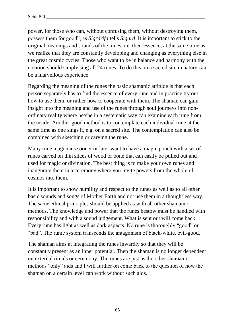power, for those who can, without confusing them, without destroying them, possess them for good", as *Sigrdrifa* tells *Sigurd*. It is important to stick to the original meanings and sounds of the runes, i.e. their essence, at the same time as we realize that they are constantly developing and changing as everything else in the great cosmic cycles. Those who want to be in balance and harmony with the creation should simply sing all 24 runes. To do this on a sacred site in nature can be a marvellous experience.

Regarding the meaning of the runes the basic shamanic attitude is that each person separately has to find the essence of every rune and in practice try out how to use them, or rather how to cooperate with them. The shaman can gain insight into the meaning and use of the runes through soul journeys into nonordinary reality where he/she in a systematic way can examine each rune from the inside. Another good method is to contemplate each individual rune at the same time as one sings it, e.g. on a sacred site. The contemplation can also be combined with sketching or carving the rune.

Many rune magicians sooner or later want to have a magic pouch with a set of runes carved on thin slices of wood or bone that can easily be pulled out and used for magic or divination. The best thing is to make your own runes and inaugurate them in a ceremony where you invite powers from the whole of cosmos into them.

It is important to show humility and respect to the runes as well as to all other basic sounds and songs of Mother Earth and not use them in a thoughtless way. The same ethical principles should be applied as with all other shamanic methods. The knowledge and power that the runes bestow must be handled with responsibility and with a sound judgement. What is sent out will come back. Every rune has light as well as dark aspects. No rune is thoroughly "good" or "bad". The runic system transcends the antagonism of black-white, evil-good.

The shaman aims at integrating the runes inwardly so that they will be constantly present as an inner potential. Then the shaman is no longer dependent on external rituals or ceremony. The runes are just as the other shamanic methods "only" aids and I will further on come back to the question of how the shaman on a certain level can work without such aids.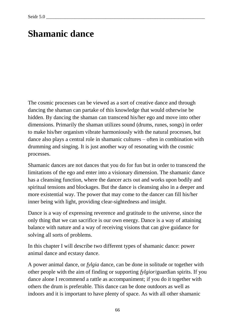# **Shamanic dance**

The cosmic processes can be viewed as a sort of creative dance and through dancing the shaman can partake of this knowledge that would otherwise be hidden. By dancing the shaman can transcend his/her ego and move into other dimensions. Primarily the shaman utilizes sound (drums, runes, songs) in order to make his/her organism vibrate harmoniously with the natural processes, but dance also plays a central role in shamanic cultures – often in combination with drumming and singing. It is just another way of resonating with the cosmic processes.

Shamanic dances are not dances that you do for fun but in order to transcend the limitations of the ego and enter into a visionary dimension. The shamanic dance has a cleansing function, where the dancer acts out and works upon bodily and spiritual tensions and blockages. But the dance is cleansing also in a deeper and more existential way. The power that may come to the dancer can fill his/her inner being with light, providing clear-sightedness and insight.

Dance is a way of expressing reverence and gratitude to the universe, since the only thing that we can sacrifice is our own energy. Dance is a way of attaining balance with nature and a way of receiving visions that can give guidance for solving all sorts of problems.

In this chapter I will describe two different types of shamanic dance: power animal dance and ecstasy dance.

A power animal dance, or *fylgia* dance, can be done in solitude or together with other people with the aim of finding or supporting *fylgior*/guardian spirits. If you dance alone I recommend a rattle as accompaniment; if you do it together with others the drum is preferable. This dance can be done outdoors as well as indoors and it is important to have plenty of space. As with all other shamanic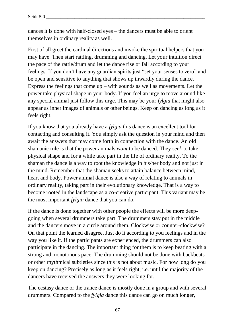dances it is done with half-closed eyes – the dancers must be able to orient themselves in ordinary reality as well.

First of all greet the cardinal directions and invoke the spiritual helpers that you may have. Then start rattling, drumming and dancing. Let your intuition direct the pace of the rattle/drum and let the dance rise or fall according to your feelings. If you don't have any guardian spirits just "set your senses to zero" and be open and sensitive to anything that shows up inwardly during the dance. Express the feelings that come  $up - with$  sounds as well as movements. Let the power take physical shape in your body. If you feel an urge to move around like any special animal just follow this urge. This may be your *fylgia* that might also appear as inner images of animals or other beings. Keep on dancing as long as it feels right.

If you know that you already have a *fylgia* this dance is an excellent tool for contacting and consulting it. You simply ask the question in your mind and then await the answers that may come forth in connection with the dance. An old shamanic rule is that the power animals *want* to be danced. They *seek* to take physical shape and for a while take part in the life of ordinary reality. To the shaman the dance is a way to root the knowledge in his/her body and not just in the mind. Remember that the shaman seeks to attain balance between mind, heart and body. Power animal dance is also a way of relating to animals in ordinary reality, taking part in their evolutionary knowledge. That is a way to become rooted in the landscape as a co-creative participant. This variant may be the most important *fylgia* dance that you can do.

If the dance is done together with other people the effects will be more deepgoing when several drummers take part. The drummers stay put in the middle and the dancers move in a circle around them. Clockwise or counter-clockwise? On that point the learned disagree. Just do it according to you feelings and in the way you like it. If the participants are experienced, the drummers can also participate in the dancing. The important thing for them is to keep beating with a strong and monotonous pace. The drumming should not be done with backbeats or other rhythmical subtleties since this is not about music. For how long do you keep on dancing? Precisely as long as it feels right, i.e. until the majority of the dancers have received the answers they were looking for.

The ecstasy dance or the trance dance is mostly done in a group and with several drummers. Compared to the *fylgia* dance this dance can go on much longer,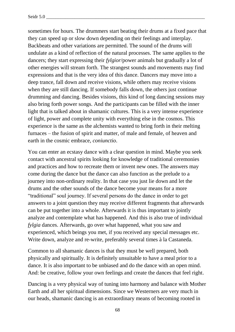sometimes for hours. The drummers start beating their drums at a fixed pace that they can speed up or slow down depending on their feelings and interplay. Backbeats and other variations are permitted. The sound of the drums will undulate as a kind of reflection of the natural processes. The same applies to the dancers; they start expressing their *fylgior*/power animals but gradually a lot of other energies will stream forth. The strangest sounds and movements may find expressions and that is the very idea of this dance. Dancers may move into a deep trance, fall down and receive visions, while others may receive visions when they are still dancing. If somebody falls down, the others just continue drumming and dancing. Besides visions, this kind of long dancing sessions may also bring forth power songs. And the participants can be filled with the inner light that is talked about in shamanic cultures. This is a very intense experience of light, power and complete unity with everything else in the cosmos. This experience is the same as the alchemists wanted to bring forth in their melting furnaces – the fusion of spirit and matter, of male and female, of heaven and earth in the cosmic embrace, *coniunctio*.

You can enter an ecstasy dance with a clear question in mind. Maybe you seek contact with ancestral spirits looking for knowledge of traditional ceremonies and practices and how to recreate them or invent new ones. The answers may come during the dance but the dance can also function as the prelude to a journey into non-ordinary reality. In that case you just lie down and let the drums and the other sounds of the dance become your means for a more "traditional" soul journey. If several persons do the dance in order to get answers to a joint question they may receive different fragments that afterwards can be put together into a whole. Afterwards it is thus important to jointly analyze and contemplate what has happened. And this is also true of individual *fylgia* dances. Afterwards, go over what happened, what you saw and experienced, which beings you met, if you received any special messages etc. Write down, analyze and re-write, preferably several times à la Castaneda.

Common to all shamanic dances is that they must be well prepared, both physically and spiritually. It is definitely unsuitable to have a meal prior to a dance. It is also important to be unbiased and do the dance with an open mind. And: be creative, follow your own feelings and create the dances that feel right.

Dancing is a very physical way of tuning into harmony and balance with Mother Earth and all her spiritual dimensions. Since we Westerners are very much in our heads, shamanic dancing is an extraordinary means of becoming rooted in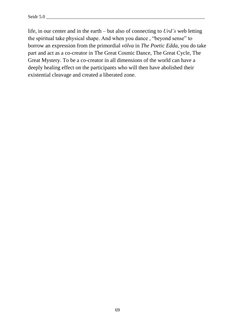life, in our center and in the earth – but also of connecting to *Urd's* web letting the spiritual take physical shape. And when you dance , "beyond sense" to borrow an expression from the primordial *völva* in *The Poetic Edda*, you do take part and act as a co-creator in The Great Cosmic Dance, The Great Cycle, The Great Mystery. To be a co-creator in all dimensions of the world can have a deeply healing effect on the participants who will then have abolished their existential cleavage and created a liberated zone.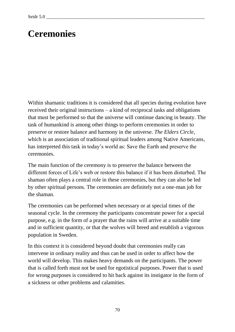# **Ceremonies**

Within shamanic traditions it is considered that all species during evolution have received their original instructions – a kind of reciprocal tasks and obligations that must be performed so that the universe will continue dancing in beauty. The task of humankind is among other things to perform ceremonies in order to preserve or restore balance and harmony in the universe. *The Elders Circle,*  which is an association of traditional spiritual leaders among Native Americans, has interpreted this task in today's world as: Save the Earth and preserve the ceremonies.

The main function of the ceremony is to preserve the balance between the different forces of Life's web or restore this balance if it has been disturbed. The shaman often plays a central role in these ceremonies, but they can also be led by other spiritual persons. The ceremonies are definitely not a one-man job for the shaman.

The ceremonies can be performed when necessary or at special times of the seasonal cycle. In the ceremony the participants concentrate power for a special purpose, e.g. in the form of a prayer that the rains will arrive at a suitable time and in sufficient quantity, or that the wolves will breed and establish a vigorous population in Sweden.

In this context it is considered beyond doubt that ceremonies really can intervene in ordinary reality and thus can be used in order to affect how the world will develop. This makes heavy demands on the participants. The power that is called forth must not be used for egotistical purposes. Power that is used for wrong purposes is considered to hit back against its instigator in the form of a sickness or other problems and calamities.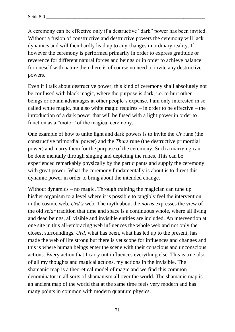A ceremony can be effective only if a destructive "dark" power has been invited. Without a fusion of constructive and destructive powers the ceremony will lack dynamics and will then hardly lead up to any changes in ordinary reality. If however the ceremony is performed primarily in order to express gratitude or reverence for different natural forces and beings or in order to achieve balance for oneself with nature then there is of course no need to invite any destructive powers.

Even if I talk about destructive power, this kind of ceremony shall absolutely not be confused with black magic, where the purpose is dark, i.e. to hurt other beings or obtain advantages at other people's expense. I am only interested in so called white magic, but also white magic requires – in order to be effective – the introduction of a dark power that will be fused with a light power in order to function as a "motor" of the magical ceremony.

One example of how to unite light and dark powers is to invite the *Ur* rune (the constructive primordial power) and the *Thurs* rune (the destructive primordial power) and marry them for the purpose of the ceremony. Such a marrying can be done mentally through singing and depicting the runes. This can be experienced remarkably physically by the participants and supply the ceremony with great power. What the ceremony fundamentally is about is to direct this dynamic power in order to bring about the intended change.

Without dynamics – no magic. Through training the magician can tune up his/her organism to a level where it is possible to tangibly feel the intervention in the cosmic web, *Urd's* web. The myth about the *norns* expresses the view of the old *seidr* tradition that time and space is a continuous whole, where all living and dead beings, all visible and invisible entities are included. An intervention at one site in this all-embracing web influences the whole web and not only the closest surroundings. *Urd*, what has been, what has led up to the present, has made the web of life strong but there is yet scope for influences and changes and this is where human beings enter the scene with their conscious and unconscious actions. Every action that I carry out influences everything else. This is true also of all my thoughts and magical actions, my actions in the invisible. The shamanic map is a theoretical model of magic and we find this common denominator in all sorts of shamanism all over the world. The shamanic map is an ancient map of the world that at the same time feels very modern and has many points in common with modern quantum physics.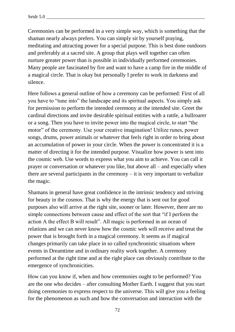Ceremonies can be performed in a very simple way, which is something that the shaman nearly always prefers. You can simply sit by yourself praying, meditating and attracting power for a special purpose. This is best done outdoors and preferably at a sacred site. A group that plays well together can often nurture greater power than is possible in individually performed ceremonies. Many people are fascinated by fire and want to have a camp fire in the middle of a magical circle. That is okay but personally I prefer to work in darkness and silence.

Here follows a general outline of how a ceremony can be performed: First of all you have to "tune into" the landscape and its spiritual aspects. You simply ask for permission to perform the intended ceremony at the intended site. Greet the cardinal directions and invite desirable spiritual entities with a rattle, a bullroarer or a song. Then you have to invite power into the magical circle, to start "the motor" of the ceremony. Use your creative imagination! Utilize runes, power songs, drums, power animals or whatever that feels right in order to bring about an accumulation of power in your circle. When the power is concentrated it is a matter of directing it for the intended purpose. Visualize how power is sent into the cosmic web. Use words to express what you aim to achieve. You can call it prayer or conversation or whatever you like, but above all – and especially when there are several participants in the ceremony – it is very important to verbalize the magic.

Shamans in general have great confidence in the intrinsic tendency and striving for beauty in the cosmos. That is why the energy that is sent out for good purposes also will arrive at the right site, sooner or later. However, there are no simple connections between cause and effect of the sort that "if I perform the action A the effect B will result". All magic is performed in an ocean of relations and we can never know how the cosmic web will receive and treat the power that is brought forth in a magical ceremony. It seems as if magical changes primarily can take place in so called synchronistic situations where events in Dreamtime and in ordinary reality work together. A ceremony performed at the right time and at the right place can obviously contribute to the emergence of synchronicities.

How can you know if, when and how ceremonies ought to be performed? You are the one who decides – after consulting Mother Earth. I suggest that you start doing ceremonies to express respect to the universe. This will give you a feeling for the phenomenon as such and how the conversation and interaction with the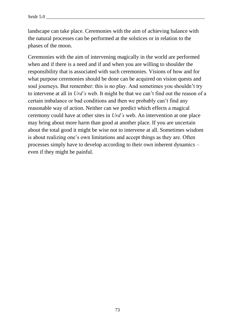landscape can take place. Ceremonies with the aim of achieving balance with the natural processes can be performed at the solstices or in relation to the phases of the moon.

Ceremonies with the aim of intervening magically in the world are performed when and if there is a need and if and when you are willing to shoulder the responsibility that is associated with such ceremonies. Visions of how and for what purpose ceremonies should be done can be acquired on vision quests and soul journeys. But remember: this is no play. And sometimes you shouldn't try to intervene at all in *Urd's* web. It might be that we can't find out the reason of a certain imbalance or bad conditions and then we probably can't find any reasonable way of action. Neither can we predict which effects a magical ceremony could have at other sites in *Urd's* web. An intervention at one place may bring about more harm than good at another place. If you are uncertain about the total good it might be wise not to intervene at all. Sometimes wisdom is about realizing one's own limitations and accept things as they are. Often processes simply have to develop according to their own inherent dynamics – even if they might be painful.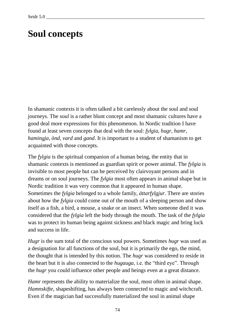## **Soul concepts**

In shamanic contexts it is often talked a bit carelessly about the soul and soul journeys. The *soul* is a rather blunt concept and most shamanic cultures have a good deal more expressions for this phenomenon. In Nordic tradition I have found at least seven concepts that deal with the soul: *fylgia*, *hugr, hamr, hamingja, önd, vard* and *gand*. It is important to a student of shamanism to get acquainted with those concepts.

The *fylgia* is the spiritual companion of a human being, the entity that in shamanic contexts is mentioned as guardian spirit or power animal. The *fylgia* is invisible to most people but can be perceived by clairvoyant persons and in dreams or on soul journeys. The *fylgia* most often appears in animal shape but in Nordic tradition it was very common that it appeared in human shape. Sometimes the *fylgia* belonged to a whole family, *ättarfylgjur*. There are stories about how the *fylgia* could come out of the mouth of a sleeping person and show itself as a fish, a bird, a mouse, a snake or an insect. When someone died it was considered that the *fylgia* left the body through the mouth. The task of the *fylgia* was to protect its human being against sickness and black magic and bring luck and success in life.

*Hugr* is the sum total of the conscious soul powers. Sometimes *hugr* was used as a designation for all functions of the soul, but it is primarily the ego, the mind, the thought that is intended by this notion. The *hugr* was considered to reside in the heart but it is also connected to the *hugauga*, i.e. the "third eye". Through the *hugr* you could influence other people and beings even at a great distance.

*Hamr* represents the ability to materialize the soul, most often in animal shape. *Hamnskifte*, shapeshifting, has always been connected to magic and witchcraft. Even if the magician had successfully materialized the soul in animal shape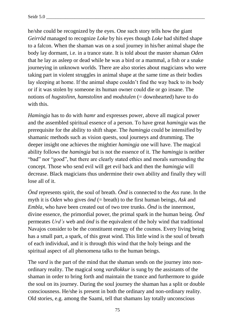he/she could be recognized by the eyes. One such story tells how the giant *Geirröd* managed to recognize *Loke* by his eyes though *Loke* had shifted shape to a falcon. When the shaman was on a soul journey in his/her animal shape the body lay dormant, i.e. in a trance state. It is told about the master shaman *Oden* that he lay as asleep or dead while he was a bird or a mammal, a fish or a snake journeying in unknown worlds. There are also stories about magicians who were taking part in violent struggles in animal shape at the same time as their bodies lay sleeping at home. If the animal shape couldn't find the way back to its body or if it was stolen by someone its human owner could die or go insane. The notions of *hugstolinn, hamstolinn* and *modstulen* (= downhearted) have to do with this.

*Hamingja* has to do with *hamr* and expresses power, above all magical power and the assembled spiritual essence of a person. To have great *hamingja* was the prerequisite for the ability to shift shape. The *hamingja* could be intensified by shamanic methods such as vision quests, soul journeys and drumming. The deeper insight one achieves the mightier *hamingja* one will have. The magical ability follows the *hamingja* but is not the essence of it. The *hamingja* is neither "bad" nor "good", but there are clearly stated ethics and morals surrounding the concept. Those who send evil will get evil back and then the *hamingja* will decrease. Black magicians thus undermine their own ability and finally they will lose all of it.

*Önd* represents spirit, the soul of breath. *Önd* is connected to the *Ass* rune. In the myth it is *Oden* who gives *önd* (= breath) to the first human beings, *Ask* and *Embla*, who have been created out of two tree trunks. *Önd* is the innermost, divine essence, the primordial power, the primal spark in the human being. *Önd*  permeates *Urd's* web and *önd* is the equivalent of the holy wind that traditional Navajos consider to be the constituent energy of the cosmos. Every living being has a small part, a spark, of this great wind. This little wind is the soul of breath of each individual, and it is through this wind that the holy beings and the spiritual aspect of all phenomena talks to the human beings.

The *vard* is the part of the mind that the shaman sends on the journey into nonordinary reality. The magical song *vardlokkur* is sung by the assistants of the shaman in order to bring forth and maintain the trance and furthermore to guide the soul on its journey. During the soul journey the shaman has a split or double consciousness. He/she is present in both the ordinary and non-ordinary reality. Old stories, e.g. among the Saami, tell that shamans lay totally unconscious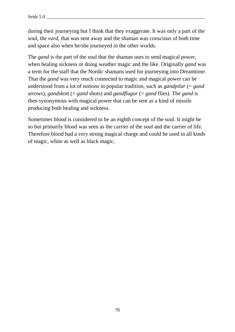during their journeying but I think that they exaggerate. It was only a part of the soul, the *vard*, that was sent away and the shaman was conscious of both time and space also when he/she journeyed in the other worlds.

The *gand* is the part of the soul that the shaman uses to send magical power, when healing sickness or doing weather magic and the like. Originally *gand* was a term for the staff that the Nordic shamans used for journeying into Dreamtime. That the *gand* was very much connected to magic and magical power can be understood from a lot of notions in popular tradition, such as *gandpilar* (= *gand* arrows), *gandskott* (= *gand* shots) and *gandflugor* (= *gand* flies). The *gand* is then synonymous with magical power that can be sent as a kind of missile producing both healing and sickness.

Sometimes blood is considered to be an eighth concept of the soul. It might be so but primarily blood was seen as the carrier of the soul and the carrier of life. Therefore blood had a very strong magical charge and could be used in all kinds of magic, white as well as black magic.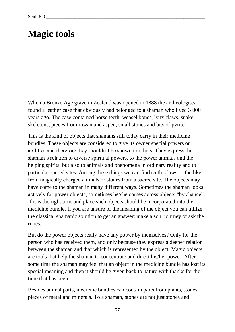## **Magic tools**

When a Bronze Age grave in Zealand was opened in 1888 the archeologists found a leather case that obviously had belonged to a shaman who lived 3 000 years ago. The case contained horse teeth, weasel bones, lynx claws, snake skeletons, pieces from rowan and aspen, small stones and bits of pyrite.

This is the kind of objects that shamans still today carry in their medicine bundles. These objects are considered to give its owner special powers or abilities and therefore they shouldn't be shown to others. They express the shaman's relation to diverse spiritual powers, to the power animals and the helping spirits, but also to animals and phenomena in ordinary reality and to particular sacred sites. Among these things we can find teeth, claws or the like from magically charged animals or stones from a sacred site. The objects may have come to the shaman in many different ways. Sometimes the shaman looks actively for power objects; sometimes he/she comes across objects "by chance". If it is the right time and place such objects should be incorporated into the medicine bundle. If you are unsure of the meaning of the object you can utilize the classical shamanic solution to get an answer: make a soul journey or ask the runes.

But do the power objects really have any power by themselves? Only for the person who has received them, and only because they express a deeper relation between the shaman and that which is represented by the object. Magic objects are tools that help the shaman to concentrate and direct his/her power. After some time the shaman may feel that an object in the medicine bundle has lost its special meaning and then it should be given back to nature with thanks for the time that has been.

Besides animal parts, medicine bundles can contain parts from plants, stones, pieces of metal and minerals. To a shaman, stones are not just stones and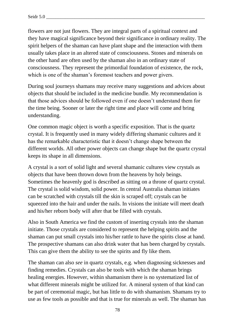flowers are not just flowers. They are integral parts of a spiritual context and they have magical significance beyond their significance in ordinary reality. The spirit helpers of the shaman can have plant shape and the interaction with them usually takes place in an altered state of consciousness. Stones and minerals on the other hand are often used by the shaman also in an ordinary state of consciousness. They represent the primordial foundation of existence, the rock, which is one of the shaman's foremost teachers and power givers.

During soul journeys shamans may receive many suggestions and advices about objects that should be included in the medicine bundle. My recommendation is that those advices should be followed even if one doesn't understand them for the time being. Sooner or later the right time and place will come and bring understanding.

One common magic object is worth a specific exposition. That is the quartz crystal. It is frequently used in many widely differing shamanic cultures and it has the remarkable characteristic that it doesn't change shape between the different worlds. All other power objects can change shape but the quartz crystal keeps its shape in all dimensions.

A crystal is a sort of solid light and several shamanic cultures view crystals as objects that have been thrown down from the heavens by holy beings. Sometimes the heavenly god is described as sitting on a throne of quartz crystal. The crystal is solid wisdom, solid power. In central Australia shaman initiates can be scratched with crystals till the skin is scraped off; crystals can be squeezed into the hair and under the nails. In visions the initiate will meet death and his/her reborn body will after that be filled with crystals.

Also in South America we find the custom of inserting crystals into the shaman initiate. Those crystals are considered to represent the helping spirits and the shaman can put small crystals into his/her rattle to have the spirits close at hand. The prospective shamans can also drink water that has been charged by crystals. This can give them the ability to see the spirits and fly like them.

The shaman can also *see* in quartz crystals, e.g. when diagnosing sicknesses and finding remedies. Crystals can also be tools with which the shaman brings healing energies. However, within shamanism there is no systematized list of what different minerals might be utilized for. A mineral system of that kind can be part of ceremonial magic, but has little to do with shamanism. Shamans try to use as few tools as possible and that is true for minerals as well. The shaman has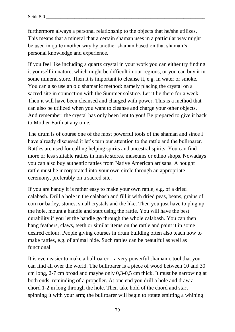furthermore always a personal relationship to the objects that he/she utilizes. This means that a mineral that a certain shaman uses in a particular way might be used in quite another way by another shaman based on that shaman's personal knowledge and experience.

If you feel like including a quartz crystal in your work you can either try finding it yourself in nature, which might be difficult in our regions, or you can buy it in some mineral store. Then it is important to cleanse it, e.g. in water or smoke. You can also use an old shamanic method: namely placing the crystal on a sacred site in connection with the Summer solstice. Let it lie there for a week. Then it will have been cleansed and charged with power. This is a method that can also be utilized when you want to cleanse and charge your other objects. And remember: the crystal has only been lent to you! Be prepared to give it back to Mother Earth at any time.

The drum is of course one of the most powerful tools of the shaman and since I have already discussed it let's turn our attention to the rattle and the bullroarer. Rattles are used for calling helping spirits and ancestral spirits. You can find more or less suitable rattles in music stores, museums or ethno shops. Nowadays you can also buy authentic rattles from Native American artisans. A bought rattle must be incorporated into your own circle through an appropriate ceremony, preferably on a sacred site.

If you are handy it is rather easy to make your own rattle, e.g. of a dried calabash. Drill a hole in the calabash and fill it with dried peas, beans, grains of corn or barley, stones, small crystals and the like. Then you just have to plug up the hole, mount a handle and start using the rattle. You will have the best durability if you let the handle go through the whole calabash. You can then hang feathers, claws, teeth or similar items on the rattle and paint it in some desired colour. People giving courses in drum building often also teach how to make rattles, e.g. of animal hide. Such rattles can be beautiful as well as functional.

It is even easier to make a bullroarer – a very powerful shamanic tool that you can find all over the world. The bullroarer is a piece of wood between 10 and 30 cm long, 2-7 cm broad and maybe only 0,3-0,5 cm thick. It must be narrowing at both ends, reminding of a propeller. At one end you drill a hole and draw a chord 1-2 m long through the hole. Then take hold of the chord and start spinning it with your arm; the bullroarer will begin to rotate emitting a whining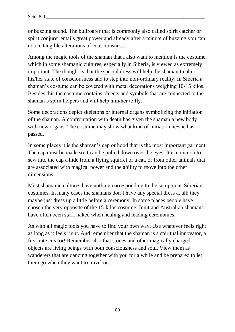or buzzing sound. The bullroarer that is commonly also called spirit catcher or spirit conjurer entails great power and already after a minute of buzzing you can notice tangible alterations of consciousness.

Among the magic tools of the shaman that I also want to mention is the costume, which in some shamanic cultures, especially in Siberia, is viewed as extremely important. The thought is that the special dress will help the shaman to alter his/her state of consciousness and to step into non-ordinary reality. In Siberia a shaman's costume can be covered with metal decorations weighing 10-15 kilos. Besides this the costume contains objects and symbols that are connected to the shaman's spirit helpers and will help him/her to fly.

Some decorations depict skeletons or internal organs symbolizing the initiation of the shaman. A confrontation with death has given the shaman a new body with new organs. The costume may show what kind of initiation he/she has passed.

In some places it is the shaman's cap or hood that is the most important garment. The cap must be made so it can be pulled down over the eyes. It is common to sew into the cap a hide from a flying squirrel or a cat, or from other animals that are associated with magical power and the ability to move into the other dimensions.

Most shamanic cultures have nothing corresponding to the sumptuous Siberian costumes. In many cases the shamans don't have any special dress at all; they maybe just dress up a little before a ceremony. In some places people have chosen the very opposite of the 15-kilos costume; Inuit and Australian shamans have often been stark naked when healing and leading ceremonies.

As with all magic tools you have to find your own way. Use whatever feels right as long as it feels right. And remember that the shaman is a spiritual innovator, a first-rate creator! Remember also that stones and other magically charged objects are living beings with both consciousness and soul. View them as wanderers that are dancing together with you for a while and be prepared to let them go when they want to travel on.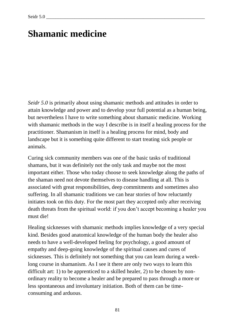#### **Shamanic medicine**

*Seidr 5.0* is primarily about using shamanic methods and attitudes in order to attain knowledge and power and to develop your full potential as a human being, but nevertheless I have to write something about shamanic medicine. Working with shamanic methods in the way I describe is in itself a healing process for the practitioner. Shamanism in itself is a healing process for mind, body and landscape but it is something quite different to start treating sick people or animals.

Curing sick community members was one of the basic tasks of traditional shamans, but it was definitely not the only task and maybe not the most important either. Those who today choose to seek knowledge along the paths of the shaman need not devote themselves to disease handling at all. This is associated with great responsibilities, deep commitments and sometimes also suffering. In all shamanic traditions we can hear stories of how reluctantly initiates took on this duty. For the most part they accepted only after receiving death threats from the spiritual world: if you don't accept becoming a healer you must die!

Healing sicknesses with shamanic methods implies knowledge of a very special kind. Besides good anatomical knowledge of the human body the healer also needs to have a well-developed feeling for psychology, a good amount of empathy and deep-going knowledge of the spiritual causes and cures of sicknesses. This is definitely not something that you can learn during a weeklong course in shamanism. As I see it there are only two ways to learn this difficult art: 1) to be apprenticed to a skilled healer, 2) to be chosen by nonordinary reality to become a healer and be prepared to pass through a more or less spontaneous and involuntary initiation. Both of them can be timeconsuming and arduous.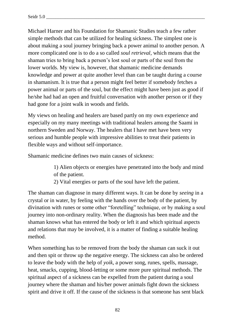Michael Harner and his Foundation for Shamanic Studies teach a few rather simple methods that can be utilized for healing sickness. The simplest one is about making a soul journey bringing back a power animal to another person. A more complicated one is to do a so called *soul retrieval,* which means that the shaman tries to bring back a person's lost soul or parts of the soul from the lower worlds. My view is, however, that shamanic medicine demands knowledge and power at quite another level than can be taught during a course in shamanism. It is true that a person might feel better if somebody fetches a power animal or parts of the soul, but the effect might have been just as good if he/she had had an open and fruitful conversation with another person or if they had gone for a joint walk in woods and fields.

My views on healing and healers are based partly on my own experience and especially on my many meetings with traditional healers among the Saami in northern Sweden and Norway. The healers that I have met have been very serious and humble people with impressive abilities to treat their patients in flexible ways and without self-importance.

Shamanic medicine defines two main causes of sickness:

- 1) Alien objects or energies have penetrated into the body and mind of the patient.
- 2) Vital energies or parts of the soul have left the patient.

The shaman can diagnose in many different ways. It can be done by *seeing* in a crystal or in water, by feeling with the hands over the body of the patient, by divination with runes or some other "foretelling" technique, or by making a soul journey into non-ordinary reality. When the diagnosis has been made and the shaman knows what has entered the body or left it and which spiritual aspects and relations that may be involved, it is a matter of finding a suitable healing method.

When something has to be removed from the body the shaman can suck it out and then spit or throw up the negative energy. The sickness can also be ordered to leave the body with the help of *yoik*, a power song, runes, spells, massage, heat, smacks, cupping, blood-letting or some more pure spiritual methods. The spiritual aspect of a sickness can be expelled from the patient during a soul journey where the shaman and his/her power animals fight down the sickness spirit and drive it off. If the cause of the sickness is that someone has sent black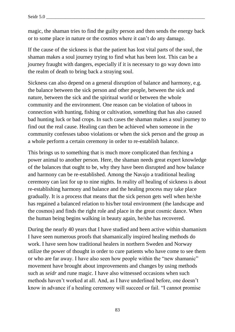magic, the shaman tries to find the guilty person and then sends the energy back or to some place in nature or the cosmos where it can't do any damage.

If the cause of the sickness is that the patient has lost vital parts of the soul, the shaman makes a soul journey trying to find what has been lost. This can be a journey fraught with dangers, especially if it is necessary to go way down into the realm of death to bring back a straying soul.

Sickness can also depend on a general disruption of balance and harmony, e.g. the balance between the sick person and other people, between the sick and nature, between the sick and the spiritual world or between the whole community and the environment. One reason can be violation of taboos in connection with hunting, fishing or cultivation, something that has also caused bad hunting luck or bad crops. In such cases the shaman makes a soul journey to find out the real cause. Healing can then be achieved when someone in the community confesses taboo violations or when the sick person and the group as a whole perform a certain ceremony in order to re-establish balance.

This brings us to something that is much more complicated than fetching a power animal to another person. Here, the shaman needs great expert knowledge of the balances that ought to be, why they have been disrupted and how balance and harmony can be re-established. Among the Navajo a traditional healing ceremony can last for up to nine nights. In reality *all* healing of sickness is about re-establishing harmony and balance and the healing process may take place gradually. It is a process that means that the sick person gets well when he/she has regained a balanced relation to his/her total environment (the landscape and the cosmos) and finds the right role and place in the great cosmic dance. When the human being begins walking in beauty again, he/she has recovered.

During the nearly 40 years that I have studied and been active within shamanism I have seen numerous proofs that shamanically inspired healing methods do work. I have seen how traditional healers in northern Sweden and Norway utilize the power of thought in order to cure patients who have come to see them or who are far away. I have also seen how people within the "new shamanic" movement have brought about improvements and changes by using methods such as *seidr* and rune magic. I have also witnessed occasions when such methods haven't worked at all. And, as I have underlined before, one doesn't know in advance if a healing ceremony will succeed or fail. "I cannot promise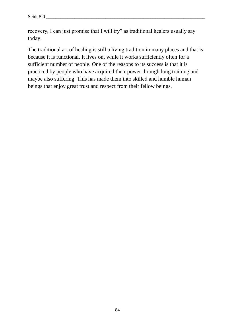recovery, I can just promise that I will try" as traditional healers usually say today.

The traditional art of healing is still a living tradition in many places and that is because it is functional. It lives on, while it works sufficiently often for a sufficient number of people. One of the reasons to its success is that it is practiced by people who have acquired their power through long training and maybe also suffering. This has made them into skilled and humble human beings that enjoy great trust and respect from their fellow beings.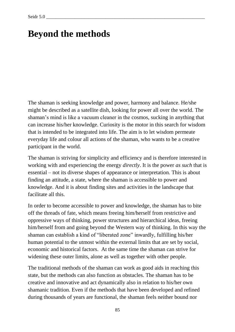# **Beyond the methods**

The shaman is seeking knowledge and power, harmony and balance. He/she might be described as a satellite dish, looking for power all over the world. The shaman's mind is like a vacuum cleaner in the cosmos, sucking in anything that can increase his/her knowledge. Curiosity is the motor in this search for wisdom that is intended to be integrated into life. The aim is to let wisdom permeate everyday life and colour all actions of the shaman, who wants to be a creative participant in the world.

The shaman is striving for simplicity and efficiency and is therefore interested in working with and experiencing the energy *directly*. It is the power *as such* that is essential – not its diverse shapes of appearance or interpretation. This is about finding an attitude, a state, where the shaman is accessible to power and knowledge. And it is about finding sites and activities in the landscape that facilitate all this.

In order to become accessible to power and knowledge, the shaman has to bite off the threads of fate, which means freeing him/herself from restrictive and oppressive ways of thinking, power structures and hierarchical ideas, freeing him/herself from and going beyond the Western way of thinking. In this way the shaman can establish a kind of "liberated zone" inwardly, fulfilling his/her human potential to the utmost within the external limits that are set by social, economic and historical factors. At the same time the shaman can strive for widening these outer limits, alone as well as together with other people.

The traditional methods of the shaman can work as good aids in reaching this state, but the methods can also function as obstacles. The shaman has to be creative and innovative and act dynamically also in relation to his/her own shamanic tradition. Even if the methods that have been developed and refined during thousands of years are functional, the shaman feels neither bound nor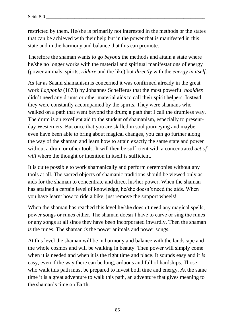restricted by them. He/she is primarily not interested in the methods or the states that can be achieved with their help but in the power that is manifested in this state and in the harmony and balance that this can promote.

Therefore the shaman wants to go *beyond* the methods and attain a state where he/she no longer works with the material and spiritual manifestations of energy (power animals, spirits, *rådare* and the like) but *directly* with the *energy in itself*.

As far as Saami shamanism is concerned it was confirmed already in the great work *Lapponia* (1673) by Johannes Schefferus that the most powerful *noaidies* didn't need any drums or other material aids to call their spirit helpers. Instead they were constantly accompanied by the spirits. They were shamans who walked on a path that went beyond the drum; a path that I call the drumless way. The drum is an excellent aid to the student of shamanism, especially to presentday Westerners. But once that you are skilled in soul journeying and maybe even have been able to bring about magical changes, you can go further along the way of the shaman and learn how to attain exactly the same state and power without a drum or other tools. It will then be sufficient with a concentrated *act of will* where the thought or intention in itself is sufficient.

It is quite possible to work shamanically and perform ceremonies without any tools at all. The sacred objects of shamanic traditions should be viewed only as aids for the shaman to concentrate and direct his/her power. When the shaman has attained a certain level of knowledge, he/she doesn't need the aids. When you have learnt how to ride a bike, just remove the support wheels!

When the shaman has reached this level he/she doesn't need any magical spells, power songs or runes either. The shaman doesn't have to carve or sing the runes or any songs at all since they have been incorporated inwardly. Then the shaman *is* the runes. The shaman *is* the power animals and power songs.

At this level the shaman will be in harmony and balance with the landscape and the whole cosmos and will be walking in beauty. Then power will simply come when it is needed and when it is the right time and place. It sounds easy and it *is* easy, even if the way there can be long, arduous and full of hardships. Those who walk this path must be prepared to invest both time and energy. At the same time it is a great adventure to walk this path, an adventure that gives meaning to the shaman's time on Earth.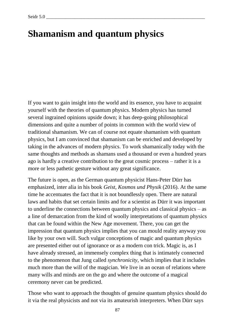## **Shamanism and quantum physics**

If you want to gain insight into the world and its essence, you have to acquaint yourself with the theories of quantum physics. Modern physics has turned several ingrained opinions upside down; it has deep-going philosophical dimensions and quite a number of points in common with the world view of traditional shamanism. We can of course not equate shamanism with quantum physics, but I am convinced that shamanism can be enriched and developed by taking in the advances of modern physics. To work shamanically today with the same thoughts and methods as shamans used a thousand or even a hundred years ago is hardly a creative contribution to the great cosmic process – rather it is a more or less pathetic gesture without any great significance.

The future is open, as the German quantum physicist Hans-Peter Dürr has emphasized, inter alia in his book *Geist, Kosmos und Physik* (2016). At the same time he accentuates the fact that it is not boundlessly open. There are natural laws and habits that set certain limits and for a scientist as Dürr it was important to underline the connections between quantum physics and classical physics – as a line of demarcation from the kind of woolly interpretations of quantum physics that can be found within the New Age movement. There, you can get the impression that quantum physics implies that you can mould reality anyway you like by your own will. Such vulgar conceptions of magic and quantum physics are presented either out of ignorance or as a modern con trick. Magic is, as I have already stressed, an immensely complex thing that is intimately connected to the phenomenon that Jung called *synchronicity*, which implies that it includes much more than the will of the magician. We live in an ocean of relations where many wills and minds are on the go and where the outcome of a magical ceremony never can be predicted.

Those who want to approach the thoughts of genuine quantum physics should do it via the real physicists and not via its amateurish interpreters. When Dürr says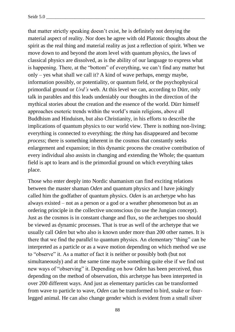that matter strictly speaking doesn't exist, he is definitely not denying the material aspect of reality. Nor does he agree with old Platonic thoughts about the spirit as the real thing and material reality as just a reflection of spirit. When we move down to and beyond the atom level with quantum physics, the laws of classical physics are dissolved, as is the ability of our language to express what is happening. There, at the "bottom" of everything, we can't find any matter but only – yes what shall we call it? A kind of wave perhaps, energy maybe, information possibly, or potentiality, or quantum field, or the psychophysical primordial ground or *Urd's* web. At this level we can, according to Dürr, only talk in parables and this leads undeniably our thoughts in the direction of the mythical stories about the creation and the essence of the world. Dürr himself approaches esoteric trends within the world's main religions, above all Buddhism and Hinduism, but also Christianity, in his efforts to describe the implications of quantum physics to our world view. There is nothing non-living; everything is connected to everything; the *thing* has disappeared and become *process*; there is something inherent in the cosmos that constantly seeks enlargement and expansion; in this dynamic process the creative contribution of every individual also assists in changing and extending the Whole; the quantum field is apt to learn and is the primordial ground on which everything takes place.

Those who enter deeply into Nordic shamanism can find exciting relations between the master shaman *Oden* and quantum physics and I have jokingly called him the godfather of quantum physics. *Oden* is an archetype who has always existed – not as a person or a god or a weather phenomenon but as an ordering principle in the collective unconscious (to use the Jungian concept). Just as the cosmos is in constant change and flux, so the archetypes too should be viewed as dynamic processes. That is true as well of the archetype that we usually call *Oden* but who also is known under more than 200 other names. It is there that we find the parallel to quantum physics. An elementary "thing" can be interpreted as a particle or as a wave motion depending on which method we use to "observe" it. As a matter of fact it is neither or possibly both (but not simultaneously) and at the same time maybe something quite else if we find out new ways of "observing" it. Depending on how *Oden* has been perceived, thus depending on the method of observation, this archetype has been interpreted in over 200 different ways. And just as elementary particles can be transformed from wave to particle to wave, *Oden* can be transformed to bird, snake or fourlegged animal. He can also change gender which is evident from a small silver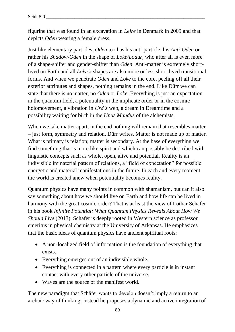figurine that was found in an excavation in *Lejre* in Denmark in 2009 and that depicts *Oden* wearing a female dress.

Just like elementary particles, *Oden* too has his anti-particle, his *Anti-Oden* or rather his *Shadow-Oden* in the shape of *Loke/Lodur*, who after all is even more of a shape-shifter and gender-shifter than *Oden*. Anti-matter is extremely shortlived on Earth and all *Loke's* shapes are also more or less short-lived transitional forms. And when we penetrate *Oden* and *Loke* to the core, peeling off all their exterior attributes and shapes, nothing remains in the end. Like Dürr we can state that there is no matter, no *Oden* or *Loke*. Everything is just an expectation in the quantum field, a potentiality in the implicate order or in the cosmic holomovement, a vibration in *Urd's* web, a dream in Dreamtime and a possibility waiting for birth in the *Unus Mundus* of the alchemists.

When we take matter apart, in the end nothing will remain that resembles matter – just form, symmetry and relation, Dürr writes. Matter is not made up of matter. What is primary is relation; matter is secondary. At the base of everything we find something that is more like spirit and which can possibly be described with linguistic concepts such as whole, open, alive and potential. Reality is an indivisible immaterial pattern of relations, a "field of expectation" for possible energetic and material manifestations in the future. In each and every moment the world is created anew when potentiality becomes reality.

Quantum physics have many points in common with shamanism, but can it also say something about how we should live on Earth and how life can be lived in harmony with the great cosmic order? That is at least the view of Lothar Schäfer in his book *Infinite Potential: What Quantum Physics Reveals About How We Should Live* (2013). Schäfer is deeply rooted in Western science as professor emeritus in physical chemistry at the University of Arkansas. He emphasizes that the basic ideas of quantum physics have ancient spiritual roots:

- A non-localized field of information is the foundation of everything that exists.
- Everything emerges out of an indivisible whole.
- Everything is connected in a pattern where every particle is in instant contact with every other particle of the universe.
- Waves are the source of the manifest world.

The new paradigm that Schäfer wants to develop doesn't imply a return to an archaic way of thinking; instead he proposes a dynamic and active integration of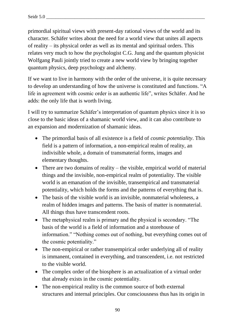primordial spiritual views with present-day rational views of the world and its character. Schäfer writes about the need for a world view that unites all aspects of reality – its physical order as well as its mental and spiritual orders. This relates very much to how the psychologist C.G. Jung and the quantum physicist Wolfgang Pauli jointly tried to create a new world view by bringing together quantum physics, deep psychology and alchemy.

If we want to live in harmony with the order of the universe, it is quite necessary to develop an understanding of how the universe is constituted and functions. "A life in agreement with cosmic order is an authentic life", writes Schäfer. And he adds: the only life that is worth living.

I will try to summarize Schäfer's interpretation of quantum physics since it is so close to the basic ideas of a shamanic world view, and it can also contribute to an expansion and modernization of shamanic ideas.

- The primordial basis of all existence is a field of *cosmic potentiality*. This field is a pattern of information, a non-empirical realm of reality, an indivisible whole, a domain of transmaterial forms, images and elementary thoughts.
- There are two domains of reality the visible, empirical world of material things and the invisible, non-empirical realm of potentiality. The visible world is an emanation of the invisible, transempirical and transmaterial potentiality, which holds the forms and the patterns of everything that is.
- The basis of the visible world is an invisible, nonmaterial wholeness, a realm of hidden images and patterns. The basis of matter is nonmaterial. All things thus have transcendent roots.
- The metaphysical realm is primary and the physical is secondary. "The basis of the world is a field of information and a storehouse of information." "Nothing comes out of nothing, but everything comes out of the cosmic potentiality."
- The non-empirical or rather transempirical order underlying all of reality is immanent, contained in everything, and transcendent, i.e. not restricted to the visible world.
- The complex order of the biosphere is an actualization of a virtual order that already exists in the cosmic potentiality.
- The non-empirical reality is the common source of both external structures and internal principles. Our consciousness thus has its origin in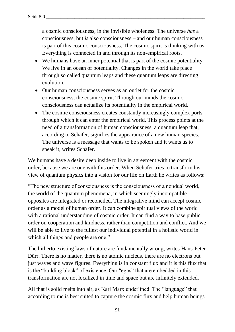a cosmic consciousness, in the invisible wholeness. The universe *has* a consciousness, but *is* also consciousness – and our human consciousness is part of this cosmic consciousness. The cosmic spirit is thinking with us. Everything is connected in and through its non-empirical roots.

- We humans have an inner potential that is part of the cosmic potentiality. We live in an ocean of potentiality. Changes in the world take place through so called quantum leaps and these quantum leaps are directing evolution.
- Our human consciousness serves as an outlet for the cosmic consciousness, the cosmic spirit. Through our minds the cosmic consciousness can actualize its potentiality in the empirical world.
- The cosmic consciousness creates constantly increasingly complex ports through which it can enter the empirical world. This process points at the need of a transformation of human consciousness, a quantum leap that, according to Schäfer, signifies the appearance of a new human species. The universe is a message that wants to be spoken and it wants us to speak it, writes Schäfer.

We humans have a desire deep inside to live in agreement with the cosmic order, because we are one with this order. When Schäfer tries to transform his view of quantum physics into a vision for our life on Earth he writes as follows:

"The new structure of consciousness is the consciousness of a nondual world, the world of the quantum phenomena, in which seemingly incompatible opposites are integrated or reconciled. The integrative mind can accept cosmic order as a model of human order. It can combine spiritual views of the world with a rational understanding of cosmic order. It can find a way to base public order on cooperation and kindness, rather than competition and conflict. And we will be able to live to the fullest our individual potential in a holistic world in which all things and people are one."

The hitherto existing laws of nature are fundamentally wrong, writes Hans-Peter Dürr. There is no matter, there is no atomic nucleus, there are no electrons but just waves and wave figures. Everything is in constant flux and it is this flux that is the "building block" of existence. Our "egos" that are embedded in this transformation are not localized in time and space but are infinitely extended.

All that is solid melts into air, as Karl Marx underlined. The "language" that according to me is best suited to capture the cosmic flux and help human beings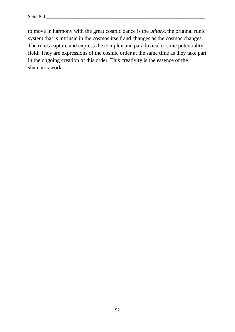to move in harmony with the great cosmic dance is the *uthark*, the original runic system that is intrinsic in the cosmos itself and changes as the cosmos changes. The runes capture and express the complex and paradoxical cosmic potentiality field. They are expressions of the cosmic order at the same time as they take part in the ongoing creation of this order. This creativity is the essence of the shaman's work.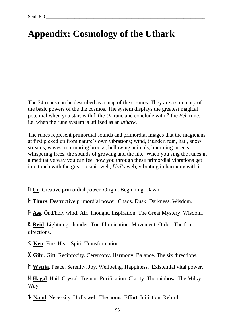# **Appendix: Cosmology of the Uthark**

The 24 runes can be described as a map of the cosmos. They are a summary of the basic powers of the the cosmos. The system displays the greatest magical potential when you start with  $\hbar$  the *Ur* rune and conclude with  $\hbar$  the *Feh* rune, i.e. when the rune system is utilized as an *uthark*.

The runes represent primordial sounds and primordial images that the magicians at first picked up from nature's own vibrations; wind, thunder, rain, hail, snow, streams, waves, murmuring brooks, bellowing animals, humming insects, whispering trees, the sounds of growing and the like. When you sing the runes in a meditative way you can feel how you through these primordial vibrations get into touch with the great cosmic web, *Urd's* web, vibrating in harmony with it.

**N** Ur. Creative primordial power. Origin. Beginning. Dawn.

**Finally Thurs**. Destructive primordial power. Chaos. Dusk. Darkness. Wisdom.

a **Ass**. Önd/holy wind. Air. Thought. Inspiration. The Great Mystery. Wisdom.

R **Reid**. Lightning, thunder. Tor. Illumination. Movement. Order. The four directions.

Ken. Fire. Heat. Spirit.Transformation.

X Gifu. Gift. Reciprocity. Ceremony. Harmony. Balance. The six directions.

P Wynja. Peace. Serenity. Joy. Wellbeing. Happiness. Existential vital power.

H **Hagal**. Hail. Crystal. Tremor. Purification. Clarity. The rainbow. The Milky Way.

n **Naud**. Necessity. Urd's web. The norns. Effort. Initiation. Rebirth.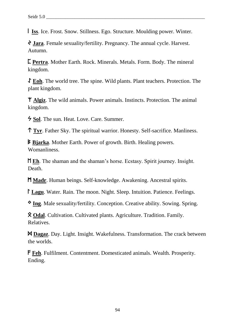i **Iss**. Ice. Frost. Snow. Stillness. Ego. Structure. Moulding power. Winter.

 $\Diamond$  **Jara**. Female sexuality/fertility. Pregnancy. The annual cycle. Harvest. Autumn.

 $\Gamma$  Pertra. Mother Earth. Rock. Minerals. Metals. Form. Body. The mineral kingdom.

I **Eoh**. The world tree. The spine. Wild plants. Plant teachers. Protection. The plant kingdom.

Z **Algiz**. The wild animals. Power animals. Instincts. Protection. The animal kingdom.

 $\frac{1}{2}$  **Sol.** The sun. Heat. Love. Care. Summer.

t **Tyr**. Father Sky. The spiritual warrior. Honesty. Self-sacrifice. Manliness.

B **Bjarka**. Mother Earth. Power of growth. Birth. Healing powers. Womanliness.

**MEh.** The shaman and the shaman's horse. Ecstasy. Spirit journey. Insight. Death.

M **Madr**. Human beings. Self-knowledge. Awakening. Ancestral spirits.

**Lagu.** Water. Rain. The moon. Night. Sleep. Intuition. Patience. Feelings.

N **Ing**. Male sexuality/fertility. Conception. Creative ability. Sowing. Spring.

 $\hat{\mathbf{X}}$  **Odal.** Cultivation. Cultivated plants. Agriculture. Tradition. Family. Relatives.

D **Dagaz**. Day. Light. Insight. Wakefulness. Transformation. The crack between the worlds.

F **Feh**. Fulfilment. Contentment. Domesticated animals. Wealth. Prosperity. Ending.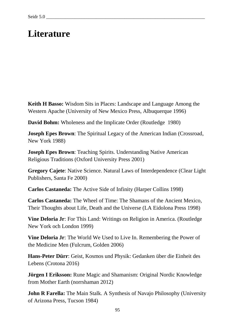# **Literature**

**Keith H Basso:** Wisdom Sits in Places: Landscape and Language Among the Western Apache (University of New Mexico Press, Albuquerque 1996)

**David Bohm:** Wholeness and the Implicate Order (Routledge 1980)

**Joseph Epes Brown:** The Spiritual Legacy of the American Indian (Crossroad, New York 1988)

**Joseph Epes Brown**: Teaching Spirits. Understanding Native American Religious Traditions (Oxford University Press 2001)

**Gregory Cajete**: Native Science. Natural Laws of Interdependence (Clear Light Publishers, Santa Fe 2000)

**Carlos Castaneda:** The Active Side of Infinity (Harper Collins 1998)

**Carlos Castaneda:** The Wheel of Time: The Shamans of the Ancient Mexico, Their Thoughts about Life, Death and the Universe (LA Eidolona Press 1998)

**Vine Deloria Jr**: For This Land: Writings on Religion in America. (Routledge New York och London 1999)

**Vine Deloria Jr**: The World We Used to Live In. Remembering the Power of the Medicine Men (Fulcrum, Golden 2006)

**Hans-Peter Dürr**: Geist, Kosmos und Physik: Gedanken über die Einheit des Lebens (Crotona 2016)

**Jörgen I Eriksson:** Rune Magic and Shamanism: Original Nordic Knowledge from Mother Earth (norrshaman 2012)

**John R Farella:** The Main Stalk. A Synthesis of Navajo Philosophy (University of Arizona Press, Tucson 1984)